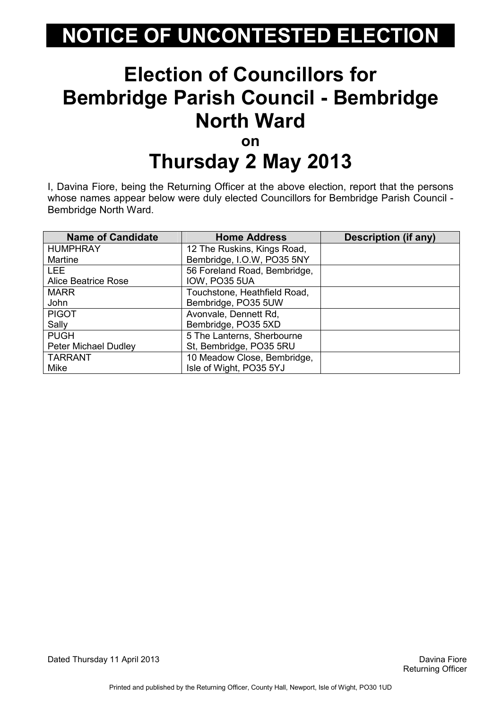#### Election of Councillors for Bembridge Parish Council - Bembridge North Ward on

# Thursday 2 May 2013

I, Davina Fiore, being the Returning Officer at the above election, report that the persons whose names appear below were duly elected Councillors for Bembridge Parish Council - Bembridge North Ward.

| <b>Name of Candidate</b>    | <b>Home Address</b>          | <b>Description (if any)</b> |
|-----------------------------|------------------------------|-----------------------------|
| <b>HUMPHRAY</b>             | 12 The Ruskins, Kings Road,  |                             |
| <b>Martine</b>              | Bembridge, I.O.W, PO35 5NY   |                             |
| <b>LEE</b>                  | 56 Foreland Road, Bembridge, |                             |
| <b>Alice Beatrice Rose</b>  | <b>IOW, PO35 5UA</b>         |                             |
| <b>MARR</b>                 | Touchstone, Heathfield Road, |                             |
| John                        | Bembridge, PO35 5UW          |                             |
| <b>PIGOT</b>                | Avonvale, Dennett Rd,        |                             |
| Sally                       | Bembridge, PO35 5XD          |                             |
| <b>PUGH</b>                 | 5 The Lanterns, Sherbourne   |                             |
| <b>Peter Michael Dudley</b> | St, Bembridge, PO35 5RU      |                             |
| <b>TARRANT</b>              | 10 Meadow Close, Bembridge,  |                             |
| <b>Mike</b>                 | Isle of Wight, PO35 5YJ      |                             |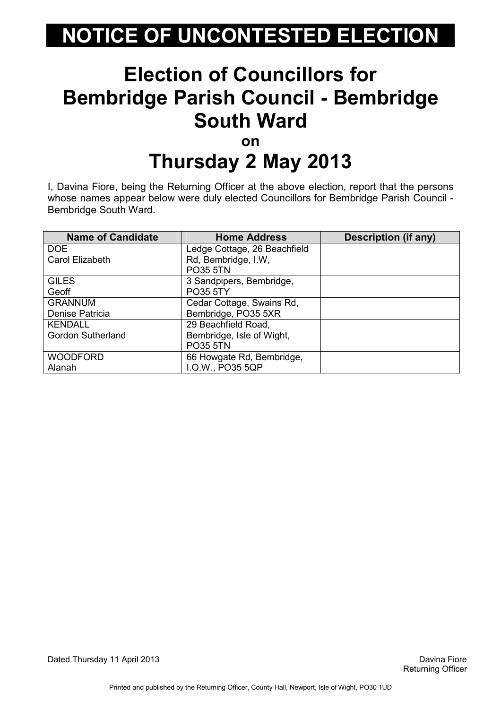#### Election of Councillors for Bembridge Parish Council - Bembridge South Ward on

# Thursday 2 May 2013

I, Davina Fiore, being the Returning Officer at the above election, report that the persons whose names appear below were duly elected Councillors for Bembridge Parish Council - Bembridge South Ward.

| <b>Name of Candidate</b> | <b>Home Address</b>          | <b>Description (if any)</b> |
|--------------------------|------------------------------|-----------------------------|
| DOE                      | Ledge Cottage, 26 Beachfield |                             |
| Carol Elizabeth          | Rd, Bembridge, I.W,          |                             |
|                          | <b>PO35 5TN</b>              |                             |
| <b>GILES</b>             | 3 Sandpipers, Bembridge,     |                             |
| Geoff                    | <b>PO35 5TY</b>              |                             |
| <b>GRANNUM</b>           | Cedar Cottage, Swains Rd,    |                             |
| Denise Patricia          | Bembridge, PO35 5XR          |                             |
| <b>KENDALL</b>           | 29 Beachfield Road,          |                             |
| <b>Gordon Sutherland</b> | Bembridge, Isle of Wight,    |                             |
|                          | <b>PO35 5TN</b>              |                             |
| <b>WOODFORD</b>          | 66 Howgate Rd, Bembridge,    |                             |
| Alanah                   | I.O.W., PO35 5QP             |                             |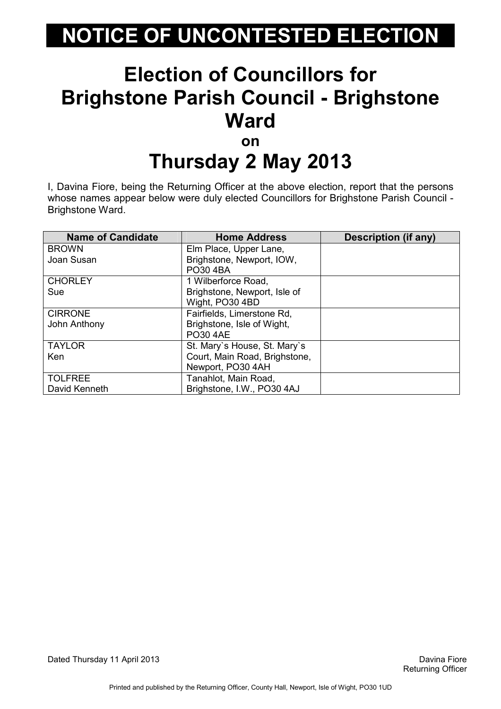#### Election of Councillors for Brighstone Parish Council - Brighstone **Ward** on

# Thursday 2 May 2013

I, Davina Fiore, being the Returning Officer at the above election, report that the persons whose names appear below were duly elected Councillors for Brighstone Parish Council - Brighstone Ward.

| <b>Name of Candidate</b> | <b>Home Address</b>           | <b>Description (if any)</b> |
|--------------------------|-------------------------------|-----------------------------|
| <b>BROWN</b>             | Elm Place, Upper Lane,        |                             |
| Joan Susan               | Brighstone, Newport, IOW,     |                             |
|                          | <b>PO30 4BA</b>               |                             |
| <b>CHORLEY</b>           | 1 Wilberforce Road,           |                             |
| Sue                      | Brighstone, Newport, Isle of  |                             |
|                          | Wight, PO30 4BD               |                             |
| <b>CIRRONE</b>           | Fairfields, Limerstone Rd,    |                             |
| John Anthony             | Brighstone, Isle of Wight,    |                             |
|                          | <b>PO30 4AE</b>               |                             |
| <b>TAYLOR</b>            | St. Mary's House, St. Mary's  |                             |
| Ken                      | Court, Main Road, Brighstone, |                             |
|                          | Newport, PO30 4AH             |                             |
| <b>TOLFREE</b>           | Tanahlot, Main Road,          |                             |
| David Kenneth            | Brighstone, I.W., PO30 4AJ    |                             |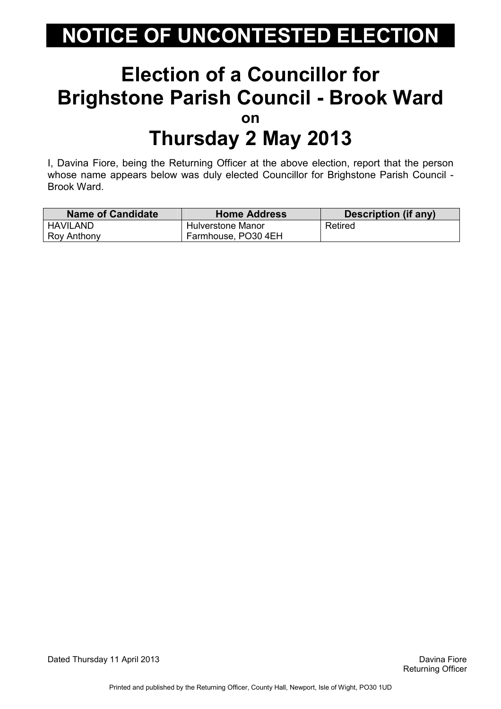#### Election of a Councillor for Brighstone Parish Council - Brook Ward on Thursday 2 May 2013

I, Davina Fiore, being the Returning Officer at the above election, report that the person whose name appears below was duly elected Councillor for Brighstone Parish Council - Brook Ward.

| <b>Name of Candidate</b> | <b>Home Address</b> | Description (if any) |
|--------------------------|---------------------|----------------------|
| <b>HAVILAND</b>          | Hulverstone Manor   | Retired              |
| Roy Anthony              | Farmhouse, PO30 4EH |                      |

Dated Thursday 11 April 2013 Davina Fiore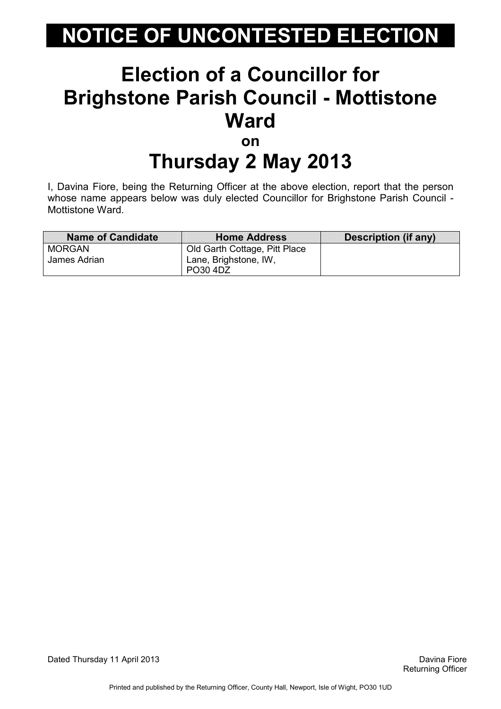#### Election of a Councillor for Brighstone Parish Council - Mottistone **Ward** on

# Thursday 2 May 2013

I, Davina Fiore, being the Returning Officer at the above election, report that the person whose name appears below was duly elected Councillor for Brighstone Parish Council - Mottistone Ward.

| <b>Name of Candidate</b>      | <b>Home Address</b>                                    | Description (if any) |
|-------------------------------|--------------------------------------------------------|----------------------|
| <b>MORGAN</b><br>James Adrian | Old Garth Cottage, Pitt Place<br>Lane, Brighstone, IW, |                      |
|                               | PO30 4DZ                                               |                      |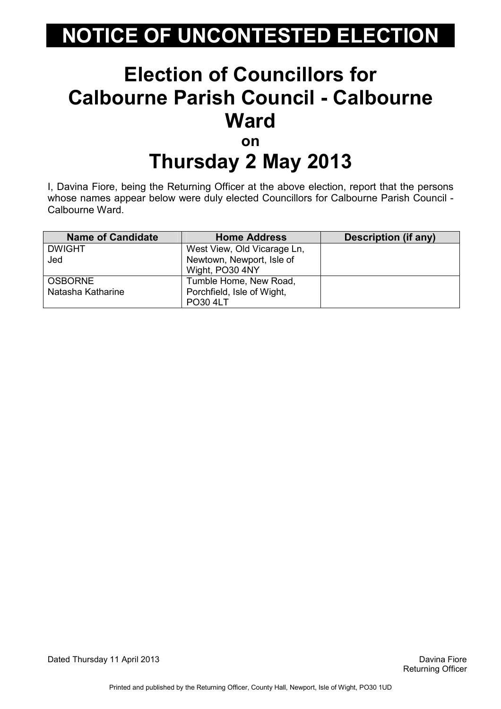#### Election of Councillors for Calbourne Parish Council - Calbourne **Ward** on

## Thursday 2 May 2013

I, Davina Fiore, being the Returning Officer at the above election, report that the persons whose names appear below were duly elected Councillors for Calbourne Parish Council - Calbourne Ward.

| <b>Name of Candidate</b> | <b>Home Address</b>         | Description (if any) |
|--------------------------|-----------------------------|----------------------|
| <b>DWIGHT</b>            | West View, Old Vicarage Ln, |                      |
| Jed                      | Newtown, Newport, Isle of   |                      |
|                          | Wight, PO30 4NY             |                      |
| <b>OSBORNE</b>           | Tumble Home, New Road,      |                      |
| Natasha Katharine        | Porchfield, Isle of Wight,  |                      |
|                          | <b>PO30 4LT</b>             |                      |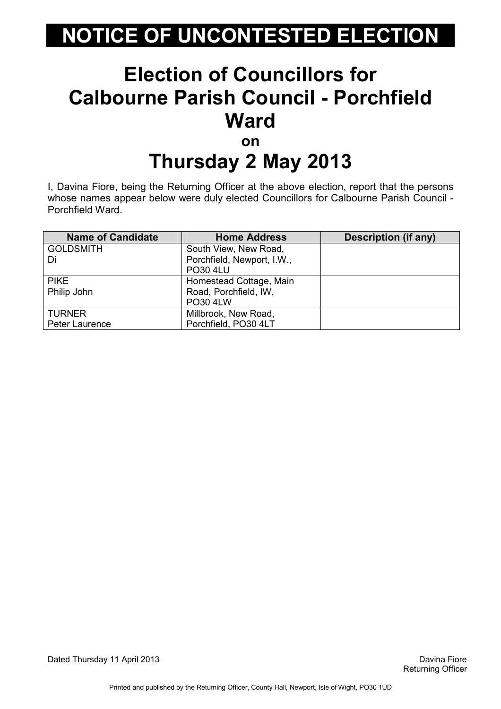#### Election of Councillors for Calbourne Parish Council - Porchfield **Ward** on

## Thursday 2 May 2013

I, Davina Fiore, being the Returning Officer at the above election, report that the persons whose names appear below were duly elected Councillors for Calbourne Parish Council - Porchfield Ward.

| <b>Name of Candidate</b> | <b>Home Address</b>        | Description (if any) |
|--------------------------|----------------------------|----------------------|
| <b>GOLDSMITH</b>         | South View, New Road,      |                      |
| Di                       | Porchfield, Newport, I.W., |                      |
|                          | <b>PO30 4LU</b>            |                      |
| <b>PIKE</b>              | Homestead Cottage, Main    |                      |
| Philip John              | Road, Porchfield, IW,      |                      |
|                          | <b>PO30 4LW</b>            |                      |
| <b>TURNER</b>            | Millbrook, New Road,       |                      |
| Peter Laurence           | Porchfield, PO30 4LT       |                      |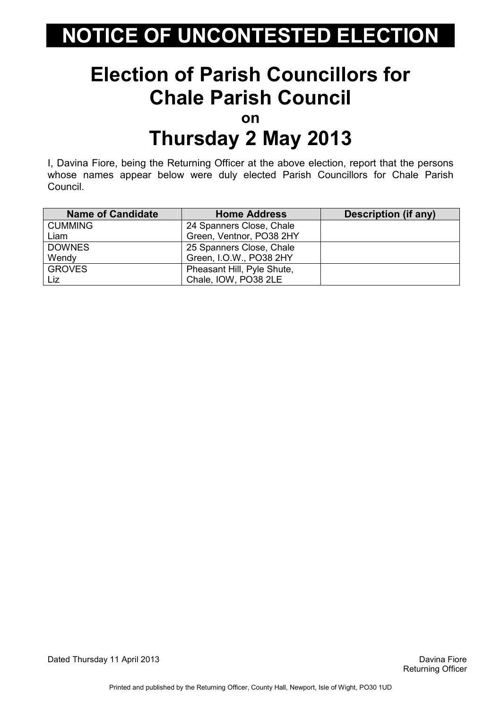#### Election of Parish Councillors for Chale Parish Council

on

### Thursday 2 May 2013

I, Davina Fiore, being the Returning Officer at the above election, report that the persons whose names appear below were duly elected Parish Councillors for Chale Parish Council.

| <b>Name of Candidate</b> | <b>Home Address</b>        | Description (if any) |
|--------------------------|----------------------------|----------------------|
| <b>CUMMING</b>           | 24 Spanners Close, Chale   |                      |
| Liam                     | Green, Ventnor, PO38 2HY   |                      |
| <b>DOWNES</b>            | 25 Spanners Close, Chale   |                      |
| Wendy                    | Green, I.O.W., PO38 2HY    |                      |
| <b>GROVES</b>            | Pheasant Hill, Pyle Shute, |                      |
| Liz                      | Chale, IOW, PO38 2LE       |                      |

Dated Thursday 11 April 2013 Davina Fiore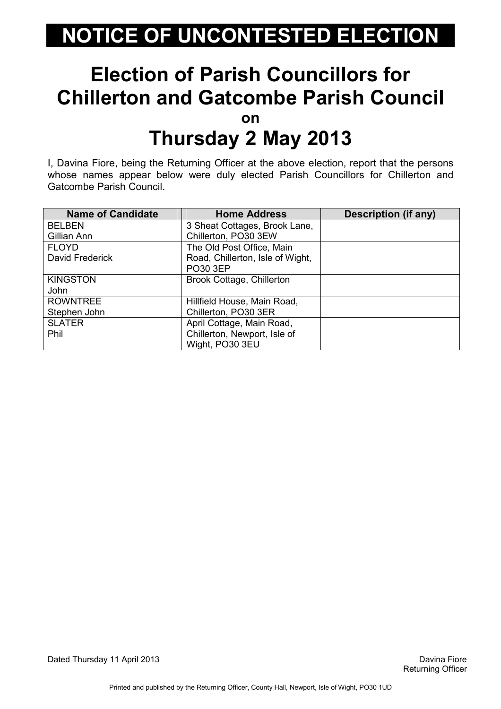#### Election of Parish Councillors for Chillerton and Gatcombe Parish Council on Thursday 2 May 2013

I, Davina Fiore, being the Returning Officer at the above election, report that the persons whose names appear below were duly elected Parish Councillors for Chillerton and Gatcombe Parish Council.

| <b>Name of Candidate</b> | <b>Home Address</b>                          | <b>Description (if any)</b> |
|--------------------------|----------------------------------------------|-----------------------------|
| <b>BELBEN</b>            | 3 Sheat Cottages, Brook Lane,                |                             |
| Gillian Ann              | Chillerton, PO30 3EW                         |                             |
| <b>FLOYD</b>             | The Old Post Office, Main                    |                             |
| David Frederick          | Road, Chillerton, Isle of Wight,<br>PO30 3EP |                             |
| <b>KINGSTON</b><br>John  | Brook Cottage, Chillerton                    |                             |
| <b>ROWNTREE</b>          | Hillfield House, Main Road,                  |                             |
| Stephen John             | Chillerton, PO30 3ER                         |                             |
| <b>SLATER</b>            | April Cottage, Main Road,                    |                             |
| Phil                     | Chillerton, Newport, Isle of                 |                             |
|                          | Wight, PO30 3EU                              |                             |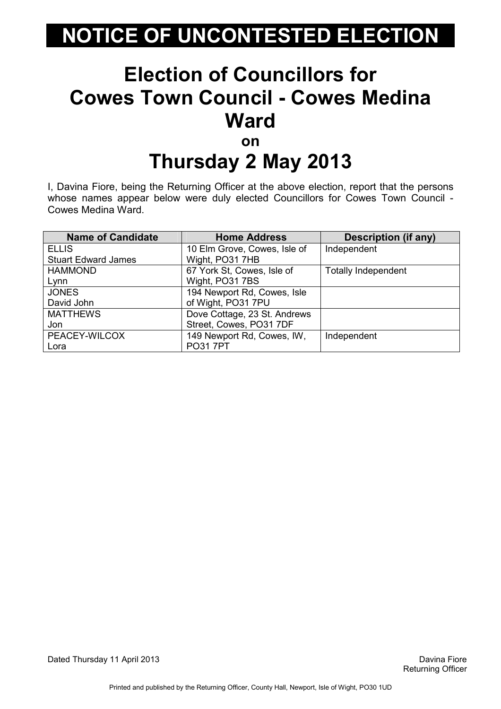#### Election of Councillors for Cowes Town Council - Cowes Medina **Ward** on

## Thursday 2 May 2013

I, Davina Fiore, being the Returning Officer at the above election, report that the persons whose names appear below were duly elected Councillors for Cowes Town Council - Cowes Medina Ward.

| <b>Name of Candidate</b>   | <b>Home Address</b>          | Description (if any)       |
|----------------------------|------------------------------|----------------------------|
| <b>ELLIS</b>               | 10 Elm Grove, Cowes, Isle of | Independent                |
| <b>Stuart Edward James</b> | Wight, PO31 7HB              |                            |
| <b>HAMMOND</b>             | 67 York St, Cowes, Isle of   | <b>Totally Independent</b> |
| Lynn                       | Wight, PO31 7BS              |                            |
| <b>JONES</b>               | 194 Newport Rd, Cowes, Isle  |                            |
| David John                 | of Wight, PO31 7PU           |                            |
| <b>MATTHEWS</b>            | Dove Cottage, 23 St. Andrews |                            |
| Jon                        | Street, Cowes, PO31 7DF      |                            |
| PEACEY-WILCOX              | 149 Newport Rd, Cowes, IW,   | Independent                |
| Lora                       | <b>PO317PT</b>               |                            |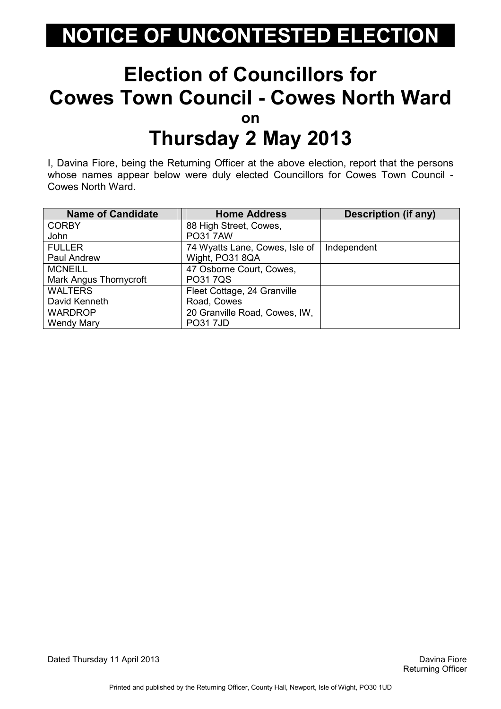#### Election of Councillors for Cowes Town Council - Cowes North Ward on Thursday 2 May 2013

I, Davina Fiore, being the Returning Officer at the above election, report that the persons whose names appear below were duly elected Councillors for Cowes Town Council - Cowes North Ward.

| <b>Name of Candidate</b> | <b>Home Address</b>            | <b>Description (if any)</b> |
|--------------------------|--------------------------------|-----------------------------|
| <b>CORBY</b>             | 88 High Street, Cowes,         |                             |
| John                     | <b>PO317AW</b>                 |                             |
| <b>FULLER</b>            | 74 Wyatts Lane, Cowes, Isle of | Independent                 |
| Paul Andrew              | Wight, PO31 8QA                |                             |
| <b>MCNEILL</b>           | 47 Osborne Court, Cowes,       |                             |
| Mark Angus Thornycroft   | <b>PO317QS</b>                 |                             |
| <b>WALTERS</b>           | Fleet Cottage, 24 Granville    |                             |
| David Kenneth            | Road, Cowes                    |                             |
| <b>WARDROP</b>           | 20 Granville Road, Cowes, IW,  |                             |
| <b>Wendy Mary</b>        | <b>PO317JD</b>                 |                             |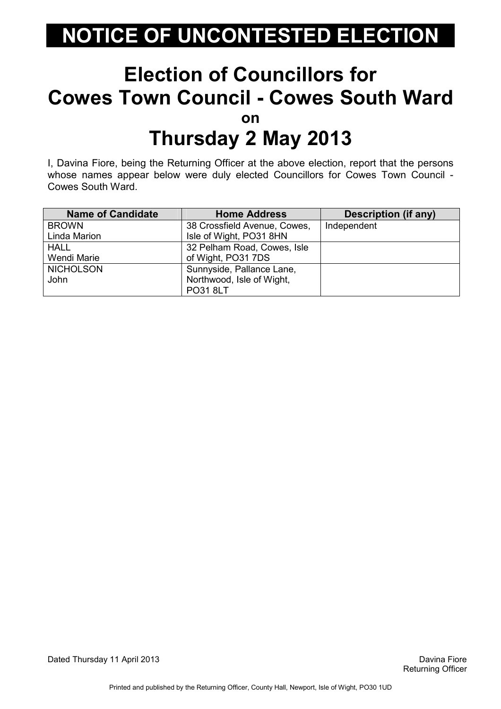#### Election of Councillors for Cowes Town Council - Cowes South Ward on Thursday 2 May 2013

I, Davina Fiore, being the Returning Officer at the above election, report that the persons whose names appear below were duly elected Councillors for Cowes Town Council - Cowes South Ward.

| <b>Name of Candidate</b> | <b>Home Address</b>          | <b>Description (if any)</b> |
|--------------------------|------------------------------|-----------------------------|
| <b>BROWN</b>             | 38 Crossfield Avenue, Cowes, | Independent                 |
| Linda Marion             | Isle of Wight, PO31 8HN      |                             |
| <b>HALL</b>              | 32 Pelham Road, Cowes, Isle  |                             |
| Wendi Marie              | of Wight, PO31 7DS           |                             |
| <b>NICHOLSON</b>         | Sunnyside, Pallance Lane,    |                             |
| John                     | Northwood, Isle of Wight,    |                             |
|                          | PO31 8LT                     |                             |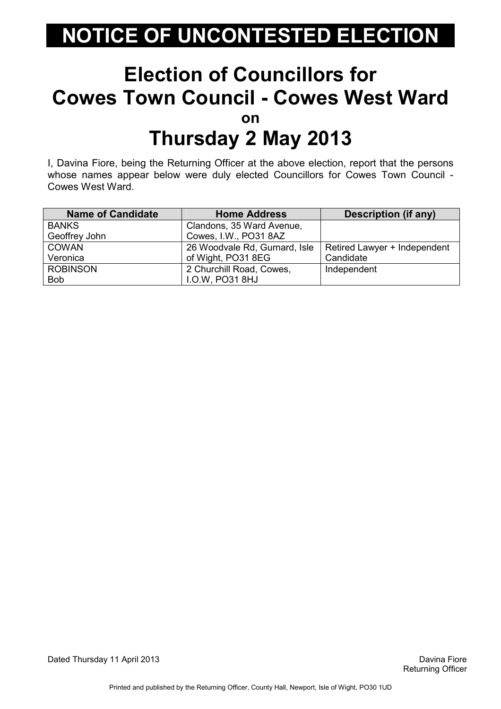#### Election of Councillors for Cowes Town Council - Cowes West Ward on Thursday 2 May 2013

I, Davina Fiore, being the Returning Officer at the above election, report that the persons whose names appear below were duly elected Councillors for Cowes Town Council - Cowes West Ward.

| <b>Name of Candidate</b> | <b>Home Address</b>           | <b>Description (if any)</b>  |
|--------------------------|-------------------------------|------------------------------|
| <b>BANKS</b>             | Clandons, 35 Ward Avenue,     |                              |
| Geoffrey John            | Cowes, I.W., PO31 8AZ         |                              |
| <b>COWAN</b>             | 26 Woodvale Rd, Gurnard, Isle | Retired Lawyer + Independent |
| Veronica                 | of Wight, PO31 8EG            | Candidate                    |
| <b>ROBINSON</b>          | 2 Churchill Road, Cowes,      | Independent                  |
| <b>Bob</b>               | <b>I.O.W. PO31 8HJ</b>        |                              |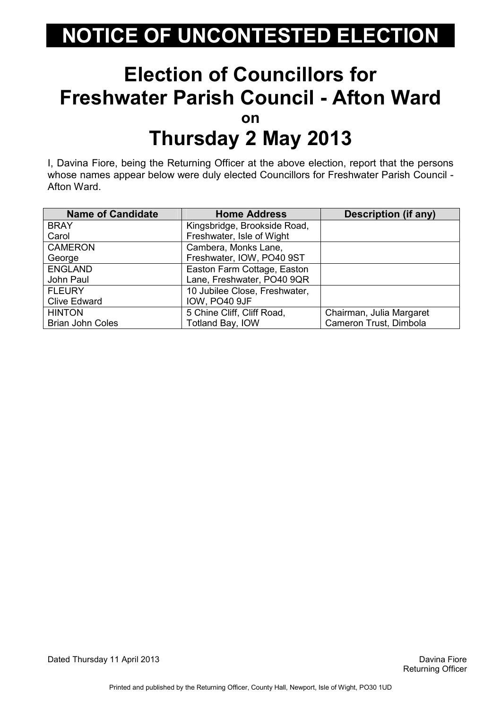#### Election of Councillors for Freshwater Parish Council - Afton Ward on Thursday 2 May 2013

I, Davina Fiore, being the Returning Officer at the above election, report that the persons whose names appear below were duly elected Councillors for Freshwater Parish Council - Afton Ward.

| <b>Name of Candidate</b> | <b>Home Address</b>           | <b>Description (if any)</b> |
|--------------------------|-------------------------------|-----------------------------|
| <b>BRAY</b>              | Kingsbridge, Brookside Road,  |                             |
| Carol                    | Freshwater, Isle of Wight     |                             |
| <b>CAMERON</b>           | Cambera, Monks Lane,          |                             |
| George                   | Freshwater, IOW, PO40 9ST     |                             |
| <b>ENGLAND</b>           | Easton Farm Cottage, Easton   |                             |
| John Paul                | Lane, Freshwater, PO40 9QR    |                             |
| <b>FLEURY</b>            | 10 Jubilee Close, Freshwater, |                             |
| <b>Clive Edward</b>      | IOW, PO40 9JF                 |                             |
| <b>HINTON</b>            | 5 Chine Cliff, Cliff Road,    | Chairman, Julia Margaret    |
| <b>Brian John Coles</b>  | Totland Bay, IOW              | Cameron Trust, Dimbola      |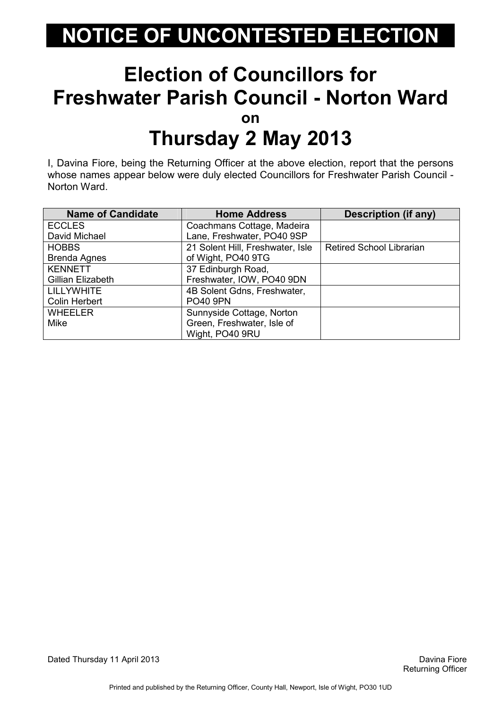#### Election of Councillors for Freshwater Parish Council - Norton Ward on Thursday 2 May 2013

I, Davina Fiore, being the Returning Officer at the above election, report that the persons whose names appear below were duly elected Councillors for Freshwater Parish Council - Norton Ward.

| <b>Name of Candidate</b> | <b>Home Address</b>              | <b>Description (if any)</b>     |
|--------------------------|----------------------------------|---------------------------------|
| <b>ECCLES</b>            | Coachmans Cottage, Madeira       |                                 |
| David Michael            | Lane, Freshwater, PO40 9SP       |                                 |
| <b>HOBBS</b>             | 21 Solent Hill, Freshwater, Isle | <b>Retired School Librarian</b> |
| Brenda Agnes             | of Wight, PO40 9TG               |                                 |
| <b>KENNETT</b>           | 37 Edinburgh Road,               |                                 |
| Gillian Elizabeth        | Freshwater, IOW, PO40 9DN        |                                 |
| <b>LILLYWHITE</b>        | 4B Solent Gdns, Freshwater,      |                                 |
| <b>Colin Herbert</b>     | <b>PO40 9PN</b>                  |                                 |
| <b>WHEELER</b>           | Sunnyside Cottage, Norton        |                                 |
| <b>Mike</b>              | Green, Freshwater, Isle of       |                                 |
|                          | Wight, PO40 9RU                  |                                 |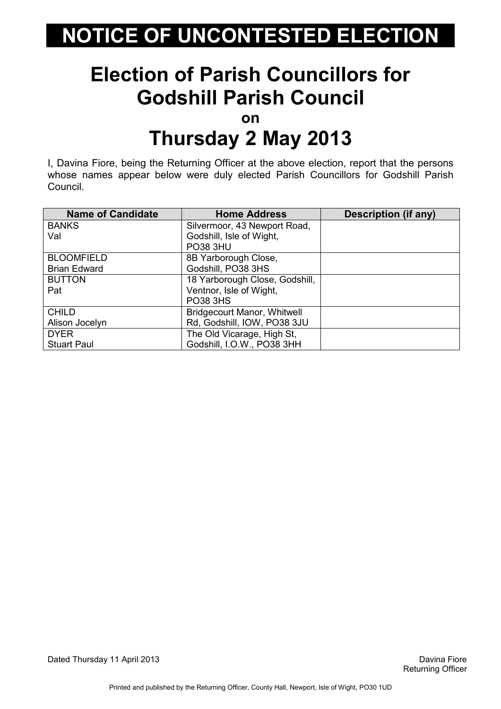#### Election of Parish Councillors for Godshill Parish Council

on

#### Thursday 2 May 2013

I, Davina Fiore, being the Returning Officer at the above election, report that the persons whose names appear below were duly elected Parish Councillors for Godshill Parish Council.

| <b>Name of Candidate</b> | <b>Home Address</b>                | <b>Description (if any)</b> |
|--------------------------|------------------------------------|-----------------------------|
| <b>BANKS</b>             | Silvermoor, 43 Newport Road,       |                             |
| Val                      | Godshill, Isle of Wight,           |                             |
|                          | <b>PO38 3HU</b>                    |                             |
| <b>BLOOMFIELD</b>        | 8B Yarborough Close,               |                             |
| <b>Brian Edward</b>      | Godshill, PO38 3HS                 |                             |
| <b>BUTTON</b>            | 18 Yarborough Close, Godshill,     |                             |
| Pat                      | Ventnor, Isle of Wight,            |                             |
|                          | <b>PO38 3HS</b>                    |                             |
| <b>CHILD</b>             | <b>Bridgecourt Manor, Whitwell</b> |                             |
| Alison Jocelyn           | Rd, Godshill, IOW, PO38 3JU        |                             |
| <b>DYER</b>              | The Old Vicarage, High St,         |                             |
| <b>Stuart Paul</b>       | Godshill, I.O.W., PO38 3HH         |                             |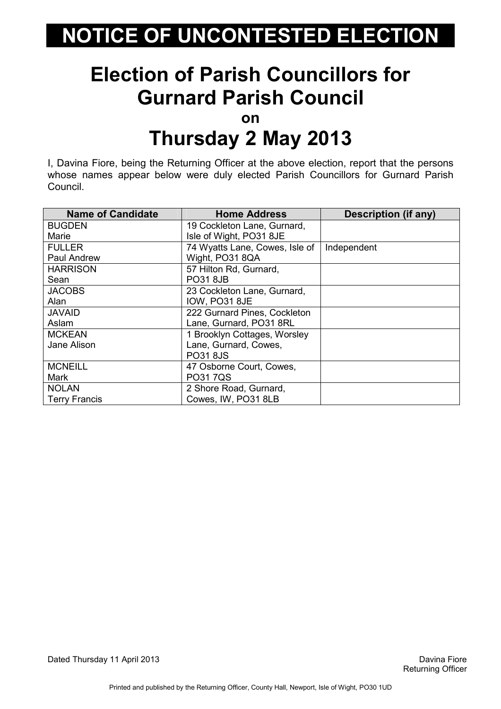#### Election of Parish Councillors for Gurnard Parish Council

on

#### Thursday 2 May 2013

I, Davina Fiore, being the Returning Officer at the above election, report that the persons whose names appear below were duly elected Parish Councillors for Gurnard Parish Council.

| <b>Name of Candidate</b> | <b>Home Address</b>            | <b>Description (if any)</b> |
|--------------------------|--------------------------------|-----------------------------|
| <b>BUGDEN</b>            | 19 Cockleton Lane, Gurnard,    |                             |
| Marie                    | Isle of Wight, PO31 8JE        |                             |
| <b>FULLER</b>            | 74 Wyatts Lane, Cowes, Isle of | Independent                 |
| Paul Andrew              | Wight, PO31 8QA                |                             |
| <b>HARRISON</b>          | 57 Hilton Rd, Gurnard,         |                             |
| Sean                     | <b>PO31 8JB</b>                |                             |
| <b>JACOBS</b>            | 23 Cockleton Lane, Gurnard,    |                             |
| Alan                     | IOW, PO31 8JE                  |                             |
| <b>JAVAID</b>            | 222 Gurnard Pines, Cockleton   |                             |
| Aslam                    | Lane, Gurnard, PO31 8RL        |                             |
| <b>MCKEAN</b>            | 1 Brooklyn Cottages, Worsley   |                             |
| Jane Alison              | Lane, Gurnard, Cowes,          |                             |
|                          | PO31 8JS                       |                             |
| <b>MCNEILL</b>           | 47 Osborne Court, Cowes,       |                             |
| Mark                     | PO31 7QS                       |                             |
| <b>NOLAN</b>             | 2 Shore Road, Gurnard,         |                             |
| <b>Terry Francis</b>     | Cowes, IW, PO31 8LB            |                             |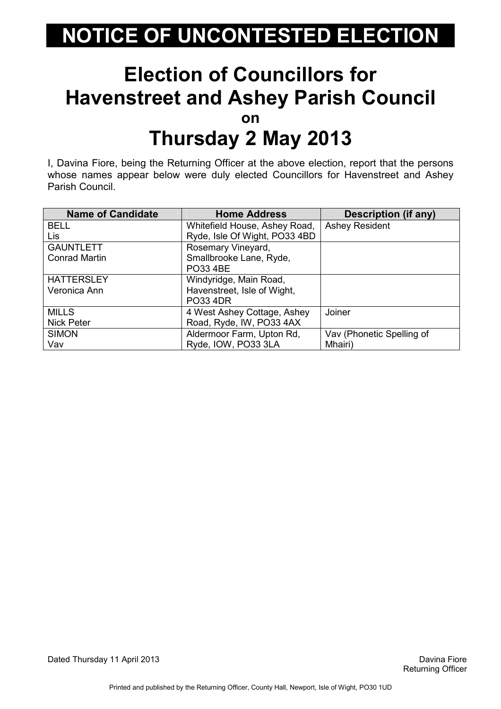#### Election of Councillors for Havenstreet and Ashey Parish Council on Thursday 2 May 2013

I, Davina Fiore, being the Returning Officer at the above election, report that the persons whose names appear below were duly elected Councillors for Havenstreet and Ashey Parish Council.

| <b>Name of Candidate</b> | <b>Home Address</b>           | <b>Description (if any)</b> |
|--------------------------|-------------------------------|-----------------------------|
| <b>BELL</b>              | Whitefield House, Ashey Road, | <b>Ashey Resident</b>       |
| Lis                      | Ryde, Isle Of Wight, PO33 4BD |                             |
| <b>GAUNTLETT</b>         | Rosemary Vineyard,            |                             |
| <b>Conrad Martin</b>     | Smallbrooke Lane, Ryde,       |                             |
|                          | <b>PO33 4BE</b>               |                             |
| <b>HATTERSLEY</b>        | Windyridge, Main Road,        |                             |
| Veronica Ann             | Havenstreet, Isle of Wight,   |                             |
|                          | <b>PO33 4DR</b>               |                             |
| <b>MILLS</b>             | 4 West Ashey Cottage, Ashey   | Joiner                      |
| <b>Nick Peter</b>        | Road, Ryde, IW, PO33 4AX      |                             |
| <b>SIMON</b>             | Aldermoor Farm, Upton Rd,     | Vav (Phonetic Spelling of   |
| Vav                      | Ryde, IOW, PO33 3LA           | Mhairi)                     |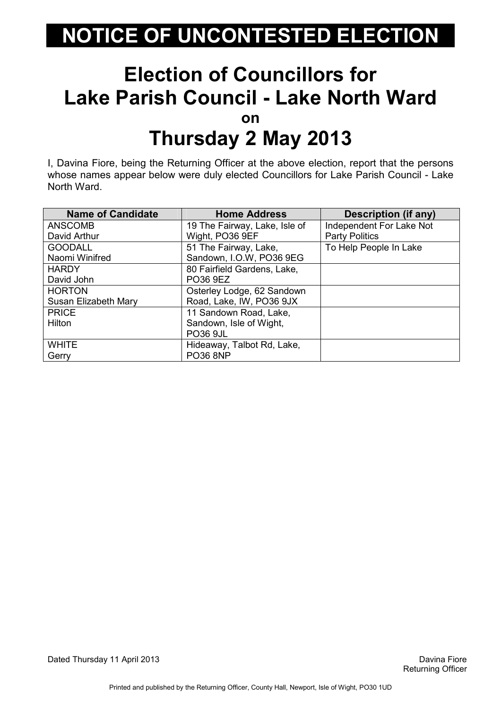#### Election of Councillors for Lake Parish Council - Lake North Ward on Thursday 2 May 2013

I, Davina Fiore, being the Returning Officer at the above election, report that the persons whose names appear below were duly elected Councillors for Lake Parish Council - Lake North Ward.

| <b>Name of Candidate</b> | <b>Home Address</b>           | Description (if any)     |
|--------------------------|-------------------------------|--------------------------|
| <b>ANSCOMB</b>           | 19 The Fairway, Lake, Isle of | Independent For Lake Not |
| David Arthur             | Wight, PO36 9EF               | <b>Party Politics</b>    |
| <b>GOODALL</b>           | 51 The Fairway, Lake,         | To Help People In Lake   |
| Naomi Winifred           | Sandown, I.O.W, PO36 9EG      |                          |
| <b>HARDY</b>             | 80 Fairfield Gardens, Lake,   |                          |
| David John               | PO36 9EZ                      |                          |
| <b>HORTON</b>            | Osterley Lodge, 62 Sandown    |                          |
| Susan Elizabeth Mary     | Road, Lake, IW, PO36 9JX      |                          |
| <b>PRICE</b>             | 11 Sandown Road, Lake,        |                          |
| Hilton                   | Sandown, Isle of Wight,       |                          |
|                          | <b>PO36 9JL</b>               |                          |
| <b>WHITE</b>             | Hideaway, Talbot Rd, Lake,    |                          |
| Gerry                    | <b>PO36 8NP</b>               |                          |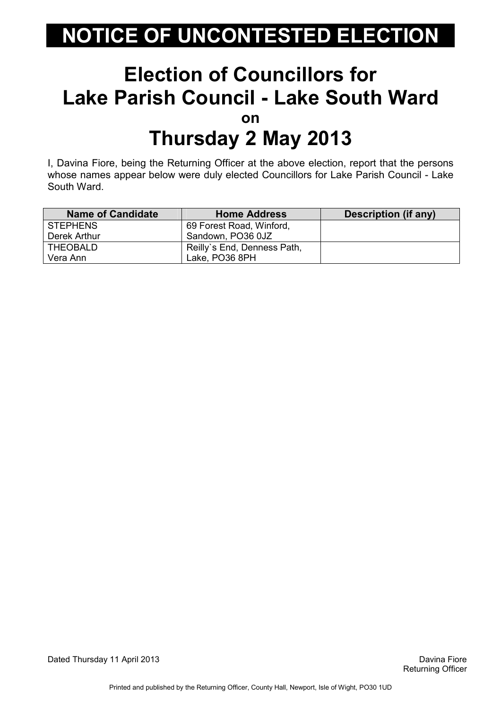#### Election of Councillors for Lake Parish Council - Lake South Ward on Thursday 2 May 2013

I, Davina Fiore, being the Returning Officer at the above election, report that the persons whose names appear below were duly elected Councillors for Lake Parish Council - Lake South Ward.

| <b>Name of Candidate</b> | <b>Home Address</b>         | <b>Description (if any)</b> |
|--------------------------|-----------------------------|-----------------------------|
| <b>STEPHENS</b>          | 69 Forest Road, Winford,    |                             |
| Derek Arthur             | Sandown, PO36 0JZ           |                             |
| <b>THEOBALD</b>          | Reilly's End, Denness Path, |                             |
| Vera Ann                 | Lake, PO36 8PH              |                             |

Dated Thursday 11 April 2013 Davina Fiore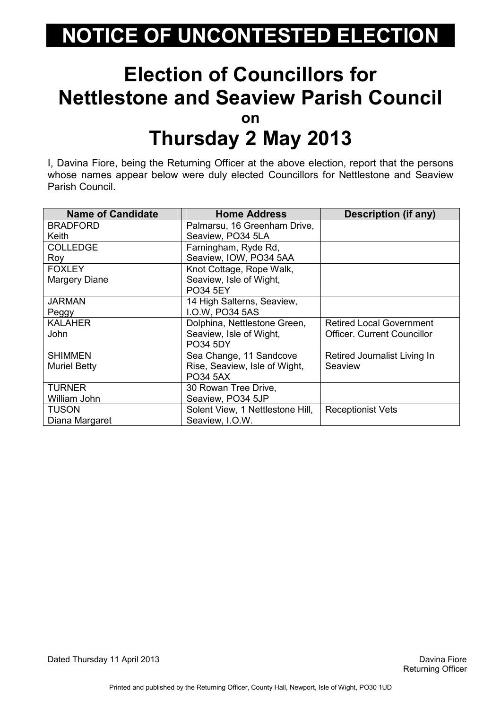#### Election of Councillors for Nettlestone and Seaview Parish Council on Thursday 2 May 2013

I, Davina Fiore, being the Returning Officer at the above election, report that the persons whose names appear below were duly elected Councillors for Nettlestone and Seaview Parish Council.

| <b>Name of Candidate</b> | <b>Home Address</b>              | Description (if any)               |
|--------------------------|----------------------------------|------------------------------------|
| <b>BRADFORD</b>          | Palmarsu, 16 Greenham Drive,     |                                    |
| Keith                    | Seaview, PO34 5LA                |                                    |
| <b>COLLEDGE</b>          | Farningham, Ryde Rd,             |                                    |
| Roy                      | Seaview, IOW, PO34 5AA           |                                    |
| <b>FOXLEY</b>            | Knot Cottage, Rope Walk,         |                                    |
| Margery Diane            | Seaview, Isle of Wight,          |                                    |
|                          | <b>PO34 5EY</b>                  |                                    |
| <b>JARMAN</b>            | 14 High Salterns, Seaview,       |                                    |
| Peggy                    | I.O.W, PO34 5AS                  |                                    |
| <b>KALAHER</b>           | Dolphina, Nettlestone Green,     | <b>Retired Local Government</b>    |
| John                     | Seaview, Isle of Wight,          | <b>Officer. Current Councillor</b> |
|                          | <b>PO34 5DY</b>                  |                                    |
| <b>SHIMMEN</b>           | Sea Change, 11 Sandcove          | Retired Journalist Living In       |
| <b>Muriel Betty</b>      | Rise, Seaview, Isle of Wight,    | Seaview                            |
|                          | <b>PO34 5AX</b>                  |                                    |
| <b>TURNER</b>            | 30 Rowan Tree Drive,             |                                    |
| William John             | Seaview, PO34 5JP                |                                    |
| <b>TUSON</b>             | Solent View, 1 Nettlestone Hill, | <b>Receptionist Vets</b>           |
| Diana Margaret           | Seaview, I.O.W.                  |                                    |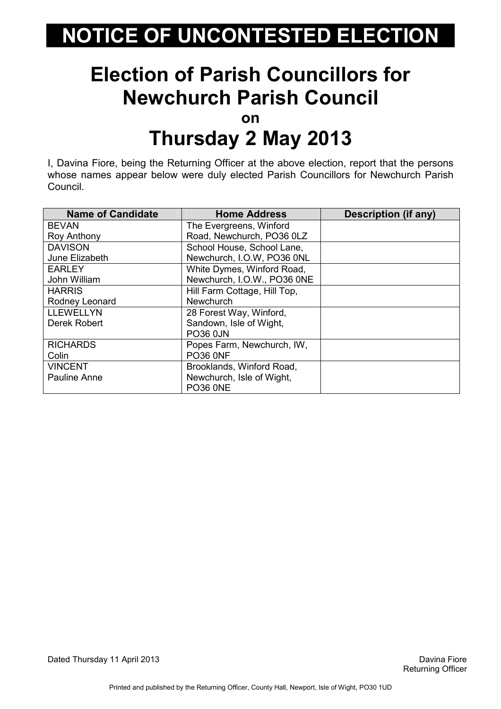### Election of Parish Councillors for Newchurch Parish Council

on

#### Thursday 2 May 2013

I, Davina Fiore, being the Returning Officer at the above election, report that the persons whose names appear below were duly elected Parish Councillors for Newchurch Parish Council.

| <b>Name of Candidate</b> | <b>Home Address</b>          | <b>Description (if any)</b> |
|--------------------------|------------------------------|-----------------------------|
| <b>BEVAN</b>             | The Evergreens, Winford      |                             |
| <b>Roy Anthony</b>       | Road, Newchurch, PO36 0LZ    |                             |
| <b>DAVISON</b>           | School House, School Lane,   |                             |
| June Elizabeth           | Newchurch, I.O.W, PO36 0NL   |                             |
| <b>EARLEY</b>            | White Dymes, Winford Road,   |                             |
| John William             | Newchurch, I.O.W., PO36 0NE  |                             |
| <b>HARRIS</b>            | Hill Farm Cottage, Hill Top, |                             |
| Rodney Leonard           | <b>Newchurch</b>             |                             |
| <b>LLEWELLYN</b>         | 28 Forest Way, Winford,      |                             |
| Derek Robert             | Sandown, Isle of Wight,      |                             |
|                          | <b>PO36 0JN</b>              |                             |
| <b>RICHARDS</b>          | Popes Farm, Newchurch, IW,   |                             |
| Colin                    | <b>PO36 0NF</b>              |                             |
| <b>VINCENT</b>           | Brooklands, Winford Road,    |                             |
| Pauline Anne             | Newchurch, Isle of Wight,    |                             |
|                          | <b>PO36 0NE</b>              |                             |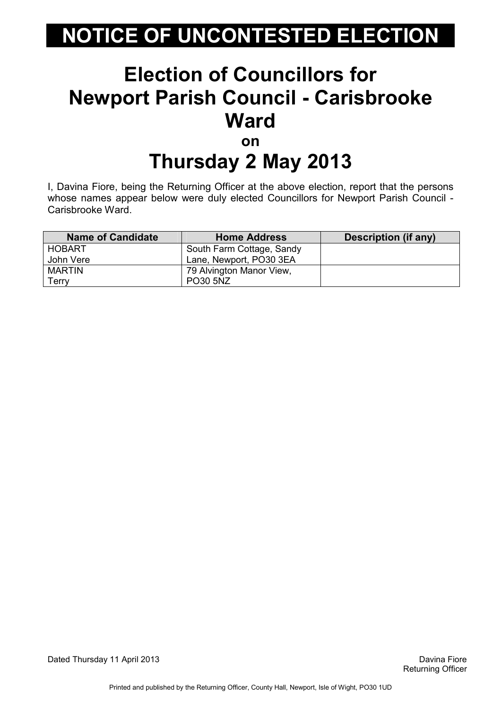#### Election of Councillors for Newport Parish Council - Carisbrooke **Ward** on

# Thursday 2 May 2013

I, Davina Fiore, being the Returning Officer at the above election, report that the persons whose names appear below were duly elected Councillors for Newport Parish Council - Carisbrooke Ward.

| <b>Name of Candidate</b> | <b>Home Address</b>       | Description (if any) |
|--------------------------|---------------------------|----------------------|
| HOBART                   | South Farm Cottage, Sandy |                      |
| John Vere                | Lane, Newport, PO30 3EA   |                      |
| <b>MARTIN</b>            | 79 Alvington Manor View,  |                      |
| Terrv                    | <b>PO30 5NZ</b>           |                      |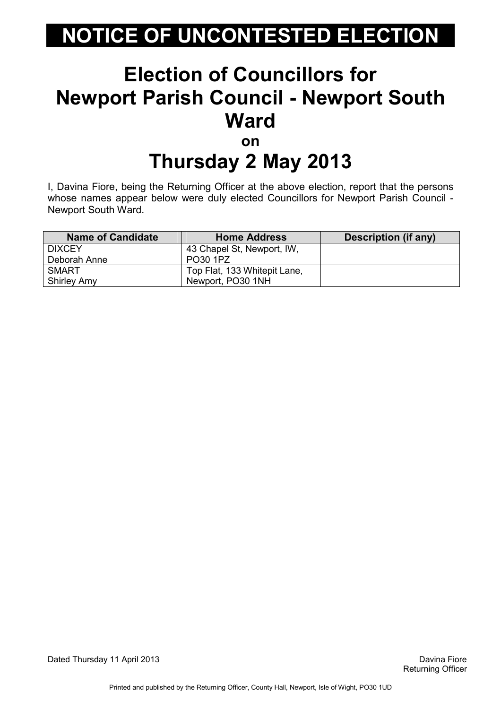#### Election of Councillors for Newport Parish Council - Newport South **Ward** on

# Thursday 2 May 2013

I, Davina Fiore, being the Returning Officer at the above election, report that the persons whose names appear below were duly elected Councillors for Newport Parish Council - Newport South Ward.

| <b>Name of Candidate</b> | <b>Home Address</b>          | <b>Description (if any)</b> |
|--------------------------|------------------------------|-----------------------------|
| <b>DIXCEY</b>            | 43 Chapel St, Newport, IW,   |                             |
| Deborah Anne             | PO30 1PZ                     |                             |
| SMART                    | Top Flat, 133 Whitepit Lane, |                             |
| <b>Shirley Amy</b>       | Newport, PO30 1NH            |                             |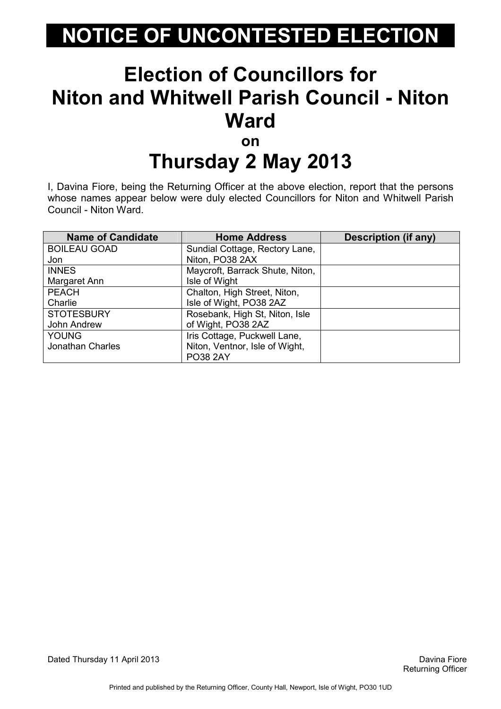#### Election of Councillors for Niton and Whitwell Parish Council - Niton **Ward** on

# Thursday 2 May 2013

I, Davina Fiore, being the Returning Officer at the above election, report that the persons whose names appear below were duly elected Councillors for Niton and Whitwell Parish Council - Niton Ward.

| <b>Name of Candidate</b> | <b>Home Address</b>             | <b>Description (if any)</b> |
|--------------------------|---------------------------------|-----------------------------|
| <b>BOILEAU GOAD</b>      | Sundial Cottage, Rectory Lane,  |                             |
| Jon                      | Niton, PO38 2AX                 |                             |
| <b>INNES</b>             | Maycroft, Barrack Shute, Niton, |                             |
| Margaret Ann             | Isle of Wight                   |                             |
| <b>PEACH</b>             | Chalton, High Street, Niton,    |                             |
| Charlie                  | Isle of Wight, PO38 2AZ         |                             |
| <b>STOTESBURY</b>        | Rosebank, High St, Niton, Isle  |                             |
| John Andrew              | of Wight, PO38 2AZ              |                             |
| <b>YOUNG</b>             | Iris Cottage, Puckwell Lane,    |                             |
| <b>Jonathan Charles</b>  | Niton, Ventnor, Isle of Wight,  |                             |
|                          | <b>PO38 2AY</b>                 |                             |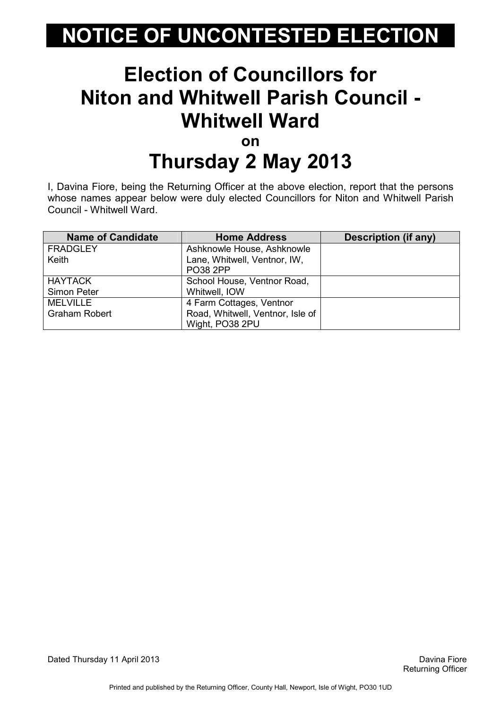#### Election of Councillors for Niton and Whitwell Parish Council - Whitwell Ward on

# Thursday 2 May 2013

I, Davina Fiore, being the Returning Officer at the above election, report that the persons whose names appear below were duly elected Councillors for Niton and Whitwell Parish Council - Whitwell Ward.

| <b>Name of Candidate</b> | <b>Home Address</b>              | Description (if any) |
|--------------------------|----------------------------------|----------------------|
| <b>FRADGLEY</b>          | Ashknowle House, Ashknowle       |                      |
| Keith                    | Lane, Whitwell, Ventnor, IW,     |                      |
|                          | <b>PO38 2PP</b>                  |                      |
| <b>HAYTACK</b>           | School House, Ventnor Road,      |                      |
| Simon Peter              | Whitwell, IOW                    |                      |
| <b>MELVILLE</b>          | 4 Farm Cottages, Ventnor         |                      |
| <b>Graham Robert</b>     | Road, Whitwell, Ventnor, Isle of |                      |
|                          | Wight, PO38 2PU                  |                      |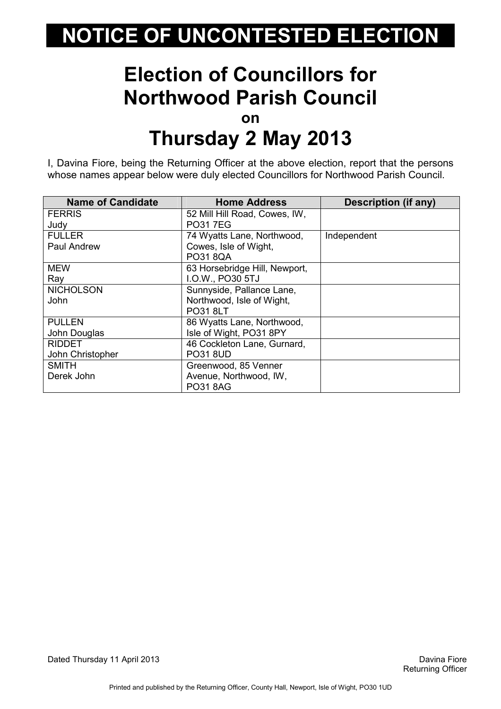#### Election of Councillors for Northwood Parish Council on Thursday 2 May 2013

I, Davina Fiore, being the Returning Officer at the above election, report that the persons whose names appear below were duly elected Councillors for Northwood Parish Council.

| <b>Name of Candidate</b> | <b>Home Address</b>           | <b>Description (if any)</b> |
|--------------------------|-------------------------------|-----------------------------|
| <b>FERRIS</b>            | 52 Mill Hill Road, Cowes, IW, |                             |
| Judy                     | <b>PO317EG</b>                |                             |
| <b>FULLER</b>            | 74 Wyatts Lane, Northwood,    | Independent                 |
| Paul Andrew              | Cowes, Isle of Wight,         |                             |
|                          | <b>PO31 8QA</b>               |                             |
| <b>MEW</b>               | 63 Horsebridge Hill, Newport, |                             |
| Ray                      | I.O.W., PO30 5TJ              |                             |
| <b>NICHOLSON</b>         | Sunnyside, Pallance Lane,     |                             |
| John                     | Northwood, Isle of Wight,     |                             |
|                          | <b>PO31 8LT</b>               |                             |
| <b>PULLEN</b>            | 86 Wyatts Lane, Northwood,    |                             |
| John Douglas             | Isle of Wight, PO31 8PY       |                             |
| <b>RIDDET</b>            | 46 Cockleton Lane, Gurnard,   |                             |
| John Christopher         | <b>PO31 8UD</b>               |                             |
| <b>SMITH</b>             | Greenwood, 85 Venner          |                             |
| Derek John               | Avenue, Northwood, IW,        |                             |
|                          | <b>PO31 8AG</b>               |                             |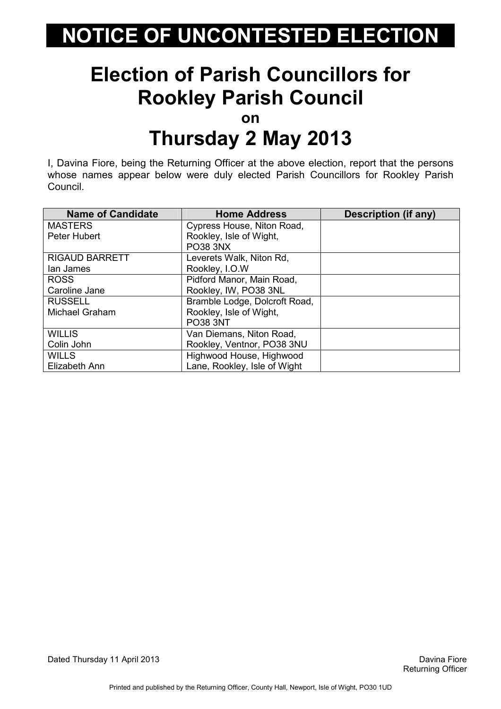#### Election of Parish Councillors for Rookley Parish Council

on

#### Thursday 2 May 2013

I, Davina Fiore, being the Returning Officer at the above election, report that the persons whose names appear below were duly elected Parish Councillors for Rookley Parish Council.

| <b>Name of Candidate</b> | <b>Home Address</b>           | Description (if any) |
|--------------------------|-------------------------------|----------------------|
| <b>MASTERS</b>           | Cypress House, Niton Road,    |                      |
| Peter Hubert             | Rookley, Isle of Wight,       |                      |
|                          | <b>PO38 3NX</b>               |                      |
| <b>RIGAUD BARRETT</b>    | Leverets Walk, Niton Rd,      |                      |
| lan James                | Rookley, I.O.W                |                      |
| <b>ROSS</b>              | Pidford Manor, Main Road,     |                      |
| Caroline Jane            | Rookley, IW, PO38 3NL         |                      |
| <b>RUSSELL</b>           | Bramble Lodge, Dolcroft Road, |                      |
| Michael Graham           | Rookley, Isle of Wight,       |                      |
|                          | <b>PO38 3NT</b>               |                      |
| <b>WILLIS</b>            | Van Diemans, Niton Road,      |                      |
| Colin John               | Rookley, Ventnor, PO38 3NU    |                      |
| <b>WILLS</b>             | Highwood House, Highwood      |                      |
| Elizabeth Ann            | Lane, Rookley, Isle of Wight  |                      |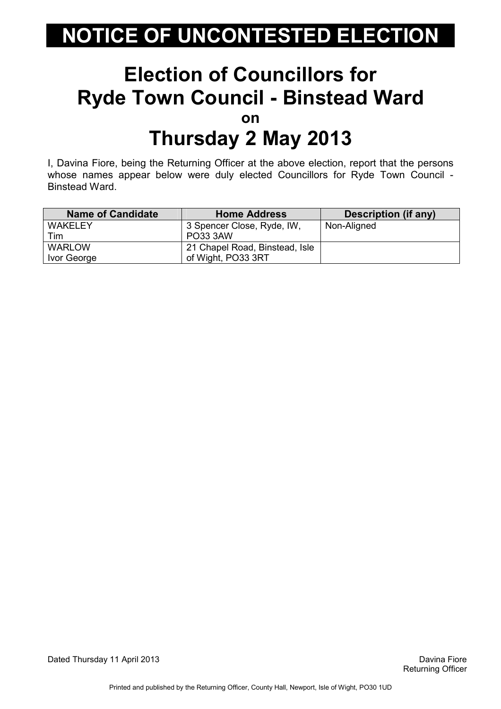#### Election of Councillors for Ryde Town Council - Binstead Ward on Thursday 2 May 2013

I, Davina Fiore, being the Returning Officer at the above election, report that the persons whose names appear below were duly elected Councillors for Ryde Town Council - Binstead Ward.

| <b>Name of Candidate</b> | <b>Home Address</b>            | Description (if any) |
|--------------------------|--------------------------------|----------------------|
| <b>WAKELEY</b>           | 3 Spencer Close, Ryde, IW,     | Non-Aligned          |
| Tim                      | <b>PO33 3AW</b>                |                      |
| <b>WARLOW</b>            | 21 Chapel Road, Binstead, Isle |                      |
| Ivor George              | of Wight, PO33 3RT             |                      |

Dated Thursday 11 April 2013 Davina Fiore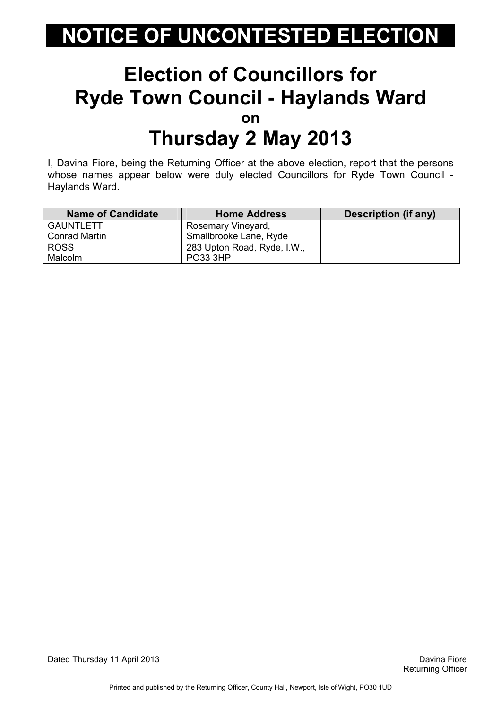#### Election of Councillors for Ryde Town Council - Haylands Ward on Thursday 2 May 2013

I, Davina Fiore, being the Returning Officer at the above election, report that the persons whose names appear below were duly elected Councillors for Ryde Town Council - Haylands Ward.

| <b>Name of Candidate</b> | <b>Home Address</b>         | Description (if any) |
|--------------------------|-----------------------------|----------------------|
| <b>GAUNTLETT</b>         | Rosemary Vineyard,          |                      |
| Conrad Martin            | Smallbrooke Lane, Ryde      |                      |
| <b>ROSS</b>              | 283 Upton Road, Ryde, I.W., |                      |
| <b>Malcolm</b>           | <b>PO33 3HP</b>             |                      |

Dated Thursday 11 April 2013 Davina Fiore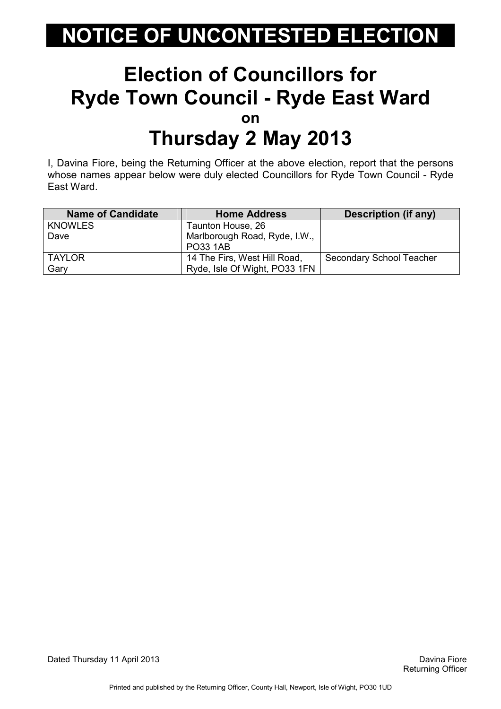#### Election of Councillors for Ryde Town Council - Ryde East Ward on Thursday 2 May 2013

I, Davina Fiore, being the Returning Officer at the above election, report that the persons whose names appear below were duly elected Councillors for Ryde Town Council - Ryde East Ward.

| <b>Name of Candidate</b> | <b>Home Address</b>           | Description (if any)            |
|--------------------------|-------------------------------|---------------------------------|
| <b>KNOWLES</b>           | Taunton House, 26             |                                 |
| Dave                     | Marlborough Road, Ryde, I.W., |                                 |
|                          | <b>PO33 1AB</b>               |                                 |
| <b>TAYLOR</b>            | 14 The Firs, West Hill Road,  | <b>Secondary School Teacher</b> |
| Gary                     | Ryde, Isle Of Wight, PO33 1FN |                                 |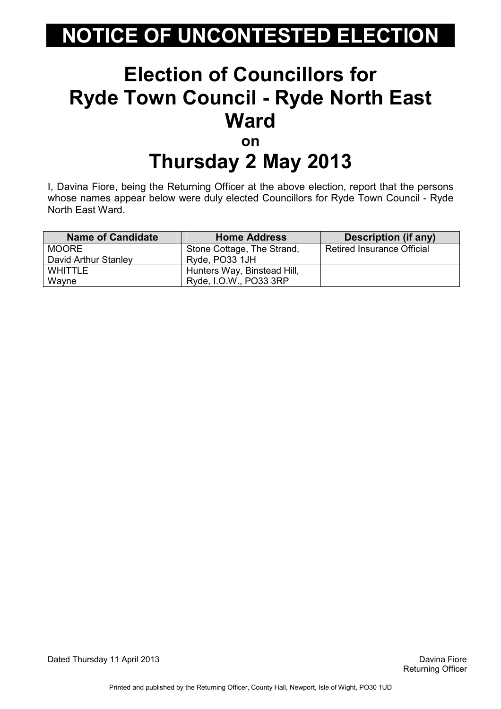#### Election of Councillors for Ryde Town Council - Ryde North East **Ward** on

### Thursday 2 May 2013

I, Davina Fiore, being the Returning Officer at the above election, report that the persons whose names appear below were duly elected Councillors for Ryde Town Council - Ryde North East Ward.

| <b>Name of Candidate</b> | <b>Home Address</b>         | Description (if any)              |
|--------------------------|-----------------------------|-----------------------------------|
| <b>MOORE</b>             | Stone Cottage, The Strand,  | <b>Retired Insurance Official</b> |
| David Arthur Stanley     | Ryde, PO33 1JH              |                                   |
| <b>WHITTLE</b>           | Hunters Way, Binstead Hill, |                                   |
| Wayne                    | Ryde, I.O.W., PO33 3RP      |                                   |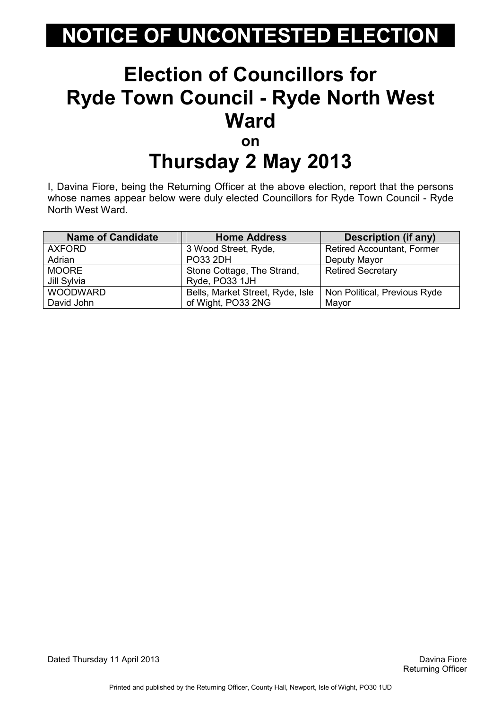#### Election of Councillors for Ryde Town Council - Ryde North West **Ward** on

## Thursday 2 May 2013

I, Davina Fiore, being the Returning Officer at the above election, report that the persons whose names appear below were duly elected Councillors for Ryde Town Council - Ryde North West Ward.

| <b>Name of Candidate</b> | <b>Home Address</b>              | <b>Description (if any)</b>       |
|--------------------------|----------------------------------|-----------------------------------|
| <b>AXFORD</b>            | 3 Wood Street, Ryde,             | <b>Retired Accountant, Former</b> |
| Adrian                   | <b>PO33 2DH</b>                  | Deputy Mayor                      |
| <b>MOORE</b>             | Stone Cottage, The Strand,       | <b>Retired Secretary</b>          |
| Jill Sylvia              | Ryde, PO33 1JH                   |                                   |
| <b>WOODWARD</b>          | Bells, Market Street, Ryde, Isle | Non Political, Previous Ryde      |
| David John               | of Wight, PO33 2NG               | Mayor                             |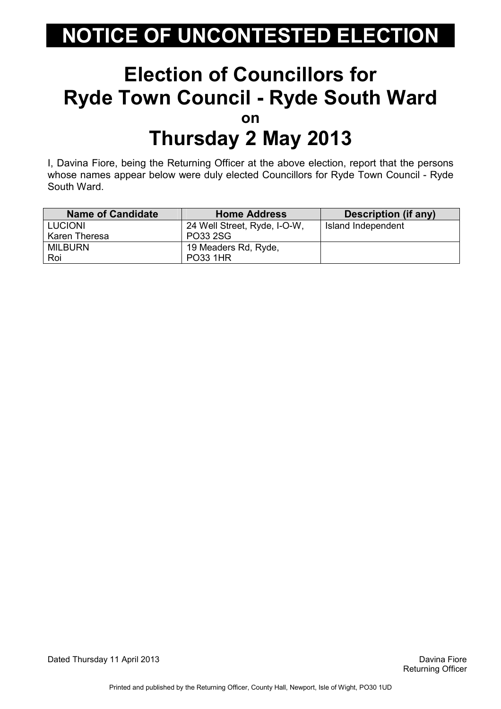#### Election of Councillors for Ryde Town Council - Ryde South Ward on Thursday 2 May 2013

I, Davina Fiore, being the Returning Officer at the above election, report that the persons whose names appear below were duly elected Councillors for Ryde Town Council - Ryde South Ward.

| <b>Name of Candidate</b> | <b>Home Address</b>          | <b>Description (if any)</b> |
|--------------------------|------------------------------|-----------------------------|
| <b>LUCIONI</b>           | 24 Well Street, Ryde, I-O-W, | Island Independent          |
| Karen Theresa            | PO33 2SG                     |                             |
| <b>MILBURN</b>           | 19 Meaders Rd, Ryde,         |                             |
| Roi                      | <b>PO33 1HR</b>              |                             |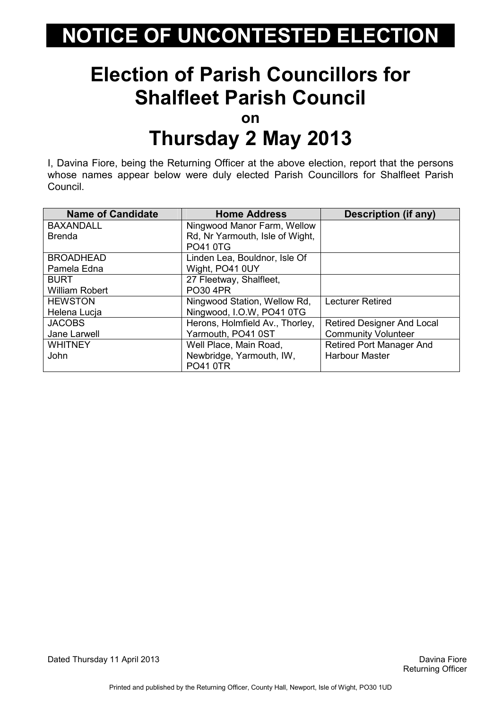#### Election of Parish Councillors for Shalfleet Parish Council

on

#### Thursday 2 May 2013

I, Davina Fiore, being the Returning Officer at the above election, report that the persons whose names appear below were duly elected Parish Councillors for Shalfleet Parish Council.

| <b>Name of Candidate</b> | <b>Home Address</b>             | <b>Description (if any)</b>       |
|--------------------------|---------------------------------|-----------------------------------|
| <b>BAXANDALL</b>         | Ningwood Manor Farm, Wellow     |                                   |
| <b>Brenda</b>            | Rd, Nr Yarmouth, Isle of Wight, |                                   |
|                          | <b>PO41 0TG</b>                 |                                   |
| <b>BROADHEAD</b>         | Linden Lea, Bouldnor, Isle Of   |                                   |
| Pamela Edna              | Wight, PO41 0UY                 |                                   |
| <b>BURT</b>              | 27 Fleetway, Shalfleet,         |                                   |
| <b>William Robert</b>    | <b>PO30 4PR</b>                 |                                   |
| <b>HEWSTON</b>           | Ningwood Station, Wellow Rd,    | <b>Lecturer Retired</b>           |
| Helena Lucja             | Ningwood, I.O.W, PO41 0TG       |                                   |
| <b>JACOBS</b>            | Herons, Holmfield Av., Thorley, | <b>Retired Designer And Local</b> |
| Jane Larwell             | Yarmouth, PO41 0ST              | <b>Community Volunteer</b>        |
| <b>WHITNEY</b>           | Well Place, Main Road,          | <b>Retired Port Manager And</b>   |
| John                     | Newbridge, Yarmouth, IW,        | <b>Harbour Master</b>             |
|                          | <b>PO41 0TR</b>                 |                                   |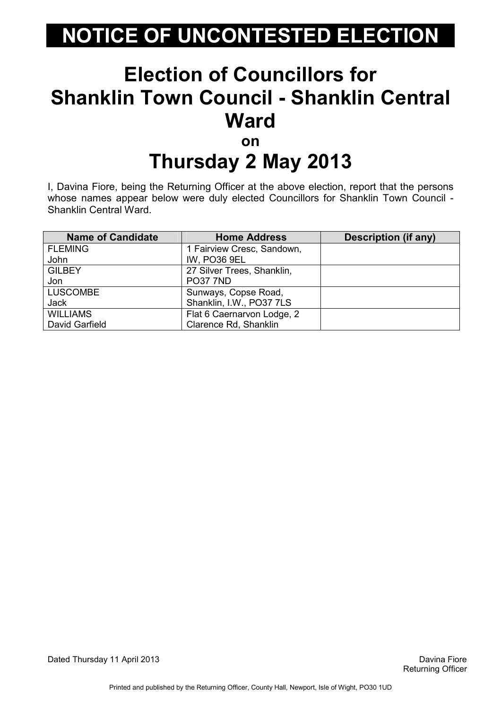#### Election of Councillors for Shanklin Town Council - Shanklin Central Ward on

# Thursday 2 May 2013

I, Davina Fiore, being the Returning Officer at the above election, report that the persons whose names appear below were duly elected Councillors for Shanklin Town Council - Shanklin Central Ward.

| <b>Name of Candidate</b> | <b>Home Address</b>        | Description (if any) |
|--------------------------|----------------------------|----------------------|
| <b>FLEMING</b>           | 1 Fairview Cresc, Sandown, |                      |
| John                     | <b>IW, PO36 9EL</b>        |                      |
| <b>GILBEY</b>            | 27 Silver Trees, Shanklin, |                      |
| Jon                      | <b>PO37 7ND</b>            |                      |
| <b>LUSCOMBE</b>          | Sunways, Copse Road,       |                      |
| <b>Jack</b>              | Shanklin, I.W., PO37 7LS   |                      |
| <b>WILLIAMS</b>          | Flat 6 Caernarvon Lodge, 2 |                      |
| David Garfield           | Clarence Rd, Shanklin      |                      |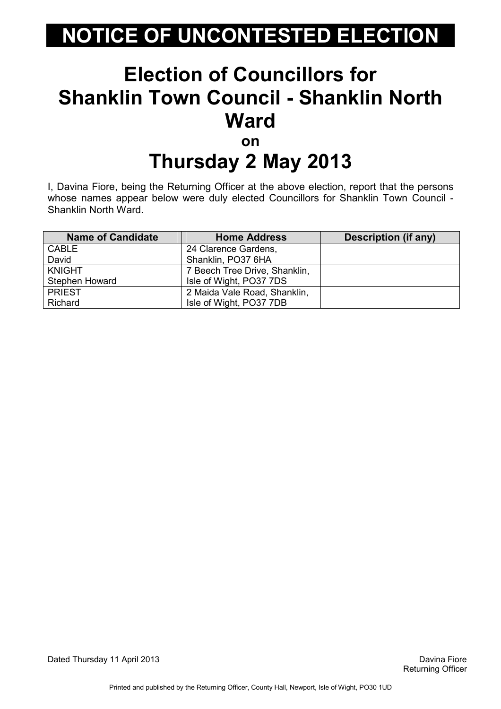#### Election of Councillors for Shanklin Town Council - Shanklin North Ward on

# Thursday 2 May 2013

I, Davina Fiore, being the Returning Officer at the above election, report that the persons whose names appear below were duly elected Councillors for Shanklin Town Council - Shanklin North Ward.

| <b>Name of Candidate</b> | <b>Home Address</b>           | Description (if any) |
|--------------------------|-------------------------------|----------------------|
| <b>CABLE</b>             | 24 Clarence Gardens,          |                      |
| David                    | Shanklin, PO37 6HA            |                      |
| <b>KNIGHT</b>            | 7 Beech Tree Drive, Shanklin, |                      |
| Stephen Howard           | Isle of Wight, PO37 7DS       |                      |
| <b>PRIEST</b>            | 2 Maida Vale Road, Shanklin,  |                      |
| Richard                  | Isle of Wight, PO37 7DB       |                      |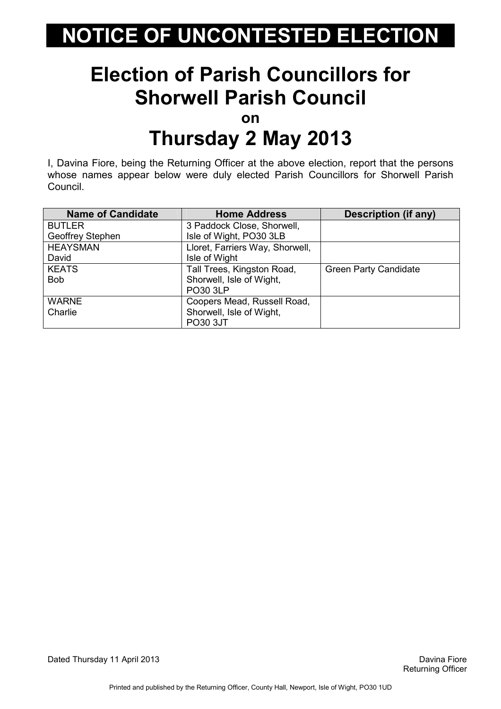#### Election of Parish Councillors for Shorwell Parish Council

on

#### Thursday 2 May 2013

I, Davina Fiore, being the Returning Officer at the above election, report that the persons whose names appear below were duly elected Parish Councillors for Shorwell Parish Council.

| <b>Name of Candidate</b> | <b>Home Address</b>             | <b>Description (if any)</b>  |
|--------------------------|---------------------------------|------------------------------|
| <b>BUTLER</b>            | 3 Paddock Close, Shorwell,      |                              |
| Geoffrey Stephen         | Isle of Wight, PO30 3LB         |                              |
| <b>HEAYSMAN</b>          | Lloret, Farriers Way, Shorwell, |                              |
| David                    | Isle of Wight                   |                              |
| <b>KEATS</b>             | Tall Trees, Kingston Road,      | <b>Green Party Candidate</b> |
| <b>Bob</b>               | Shorwell, Isle of Wight,        |                              |
|                          | <b>PO30 3LP</b>                 |                              |
| <b>WARNE</b>             | Coopers Mead, Russell Road,     |                              |
| Charlie                  | Shorwell, Isle of Wight,        |                              |
|                          | <b>PO30 3JT</b>                 |                              |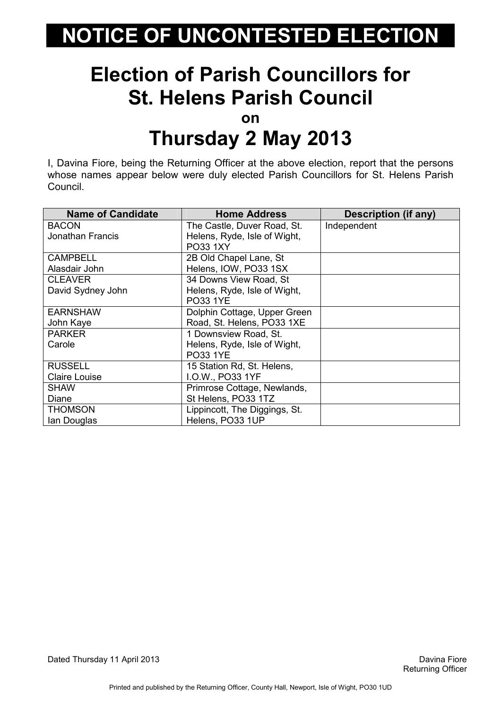#### Election of Parish Councillors for St. Helens Parish Council

on

#### Thursday 2 May 2013

I, Davina Fiore, being the Returning Officer at the above election, report that the persons whose names appear below were duly elected Parish Councillors for St. Helens Parish Council.

| <b>Name of Candidate</b> | <b>Home Address</b>           | <b>Description (if any)</b> |
|--------------------------|-------------------------------|-----------------------------|
| <b>BACON</b>             | The Castle, Duver Road, St.   | Independent                 |
| <b>Jonathan Francis</b>  | Helens, Ryde, Isle of Wight,  |                             |
|                          | PO33 1XY                      |                             |
| <b>CAMPBELL</b>          | 2B Old Chapel Lane, St        |                             |
| Alasdair John            | Helens, IOW, PO33 1SX         |                             |
| <b>CLEAVER</b>           | 34 Downs View Road, St        |                             |
| David Sydney John        | Helens, Ryde, Isle of Wight,  |                             |
|                          | <b>PO33 1YE</b>               |                             |
| <b>EARNSHAW</b>          | Dolphin Cottage, Upper Green  |                             |
| John Kaye                | Road, St. Helens, PO33 1XE    |                             |
| <b>PARKER</b>            | 1 Downsview Road, St.         |                             |
| Carole                   | Helens, Ryde, Isle of Wight,  |                             |
|                          | <b>PO33 1YE</b>               |                             |
| <b>RUSSELL</b>           | 15 Station Rd, St. Helens,    |                             |
| <b>Claire Louise</b>     | I.O.W., PO33 1YF              |                             |
| <b>SHAW</b>              | Primrose Cottage, Newlands,   |                             |
| Diane                    | St Helens, PO33 1TZ           |                             |
| <b>THOMSON</b>           | Lippincott, The Diggings, St. |                             |
| lan Douglas              | Helens, PO33 1UP              |                             |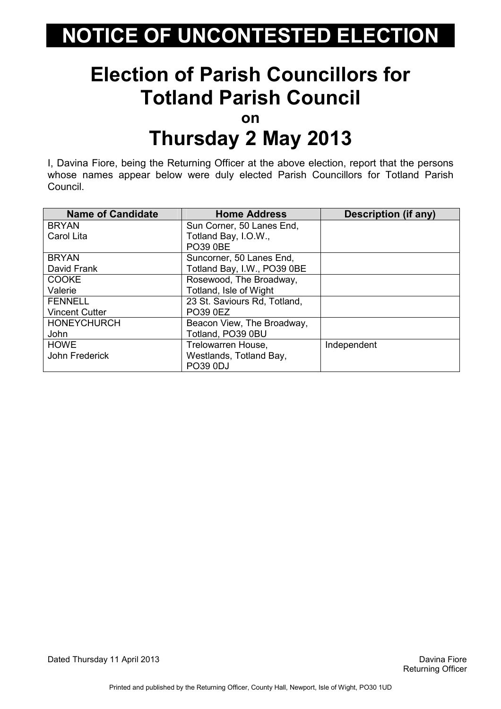#### Election of Parish Councillors for Totland Parish Council

on

#### Thursday 2 May 2013

I, Davina Fiore, being the Returning Officer at the above election, report that the persons whose names appear below were duly elected Parish Councillors for Totland Parish Council.

| <b>Name of Candidate</b> | <b>Home Address</b>          | <b>Description (if any)</b> |
|--------------------------|------------------------------|-----------------------------|
| <b>BRYAN</b>             | Sun Corner, 50 Lanes End,    |                             |
| Carol Lita               | Totland Bay, I.O.W.,         |                             |
|                          | <b>PO39 0BE</b>              |                             |
| <b>BRYAN</b>             | Suncorner, 50 Lanes End,     |                             |
| David Frank              | Totland Bay, I.W., PO39 0BE  |                             |
| <b>COOKE</b>             | Rosewood, The Broadway,      |                             |
| Valerie                  | Totland, Isle of Wight       |                             |
| <b>FENNELL</b>           | 23 St. Saviours Rd, Totland, |                             |
| <b>Vincent Cutter</b>    | <b>PO39 0EZ</b>              |                             |
| <b>HONEYCHURCH</b>       | Beacon View, The Broadway,   |                             |
| John                     | Totland, PO39 0BU            |                             |
| <b>HOWE</b>              | Trelowarren House,           | Independent                 |
| John Frederick           | Westlands, Totland Bay,      |                             |
|                          | <b>PO39 0DJ</b>              |                             |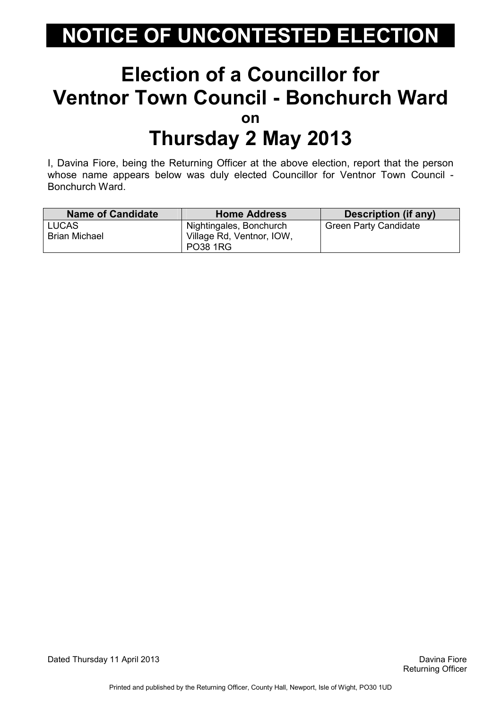#### Election of a Councillor for Ventnor Town Council - Bonchurch Ward on Thursday 2 May 2013

I, Davina Fiore, being the Returning Officer at the above election, report that the person whose name appears below was duly elected Councillor for Ventnor Town Council - Bonchurch Ward.

| <b>Name of Candidate</b> | <b>Home Address</b>       | <b>Description (if any)</b>  |
|--------------------------|---------------------------|------------------------------|
| LUCAS                    | Nightingales, Bonchurch   | <b>Green Party Candidate</b> |
| <b>Brian Michael</b>     | Village Rd, Ventnor, IOW, |                              |
|                          | <b>PO38 1RG</b>           |                              |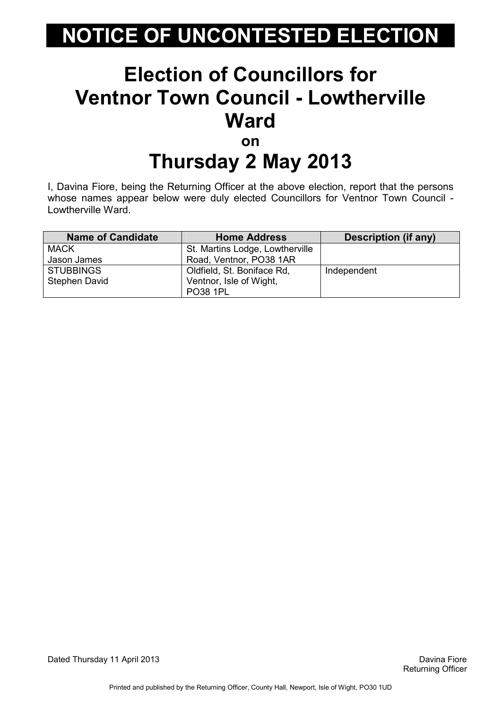#### Election of Councillors for Ventnor Town Council - Lowtherville Ward on

### Thursday 2 May 2013

I, Davina Fiore, being the Returning Officer at the above election, report that the persons whose names appear below were duly elected Councillors for Ventnor Town Council - Lowtherville Ward.

| <b>Name of Candidate</b> | <b>Home Address</b>             | Description (if any) |
|--------------------------|---------------------------------|----------------------|
| <b>MACK</b>              | St. Martins Lodge, Lowtherville |                      |
| Jason James              | Road, Ventnor, PO38 1AR         |                      |
| <b>STUBBINGS</b>         | Oldfield, St. Boniface Rd,      | Independent          |
| <b>Stephen David</b>     | Ventnor, Isle of Wight,         |                      |
|                          | <b>PO38 1PL</b>                 |                      |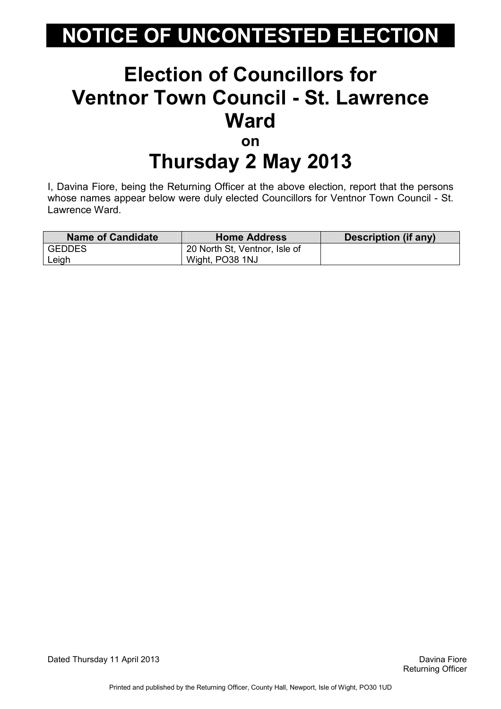#### Election of Councillors for Ventnor Town Council - St. Lawrence Ward on Thursday 2 May 2013

I, Davina Fiore, being the Returning Officer at the above election, report that the persons whose names appear below were duly elected Councillors for Ventnor Town Council - St. Lawrence Ward.

| <b>Name of Candidate</b> | <b>Home Address</b>           | Description (if any) |
|--------------------------|-------------------------------|----------------------|
| l GEDDES                 | 20 North St, Ventnor, Isle of |                      |
| Leigh                    | Wight, PO38 1NJ               |                      |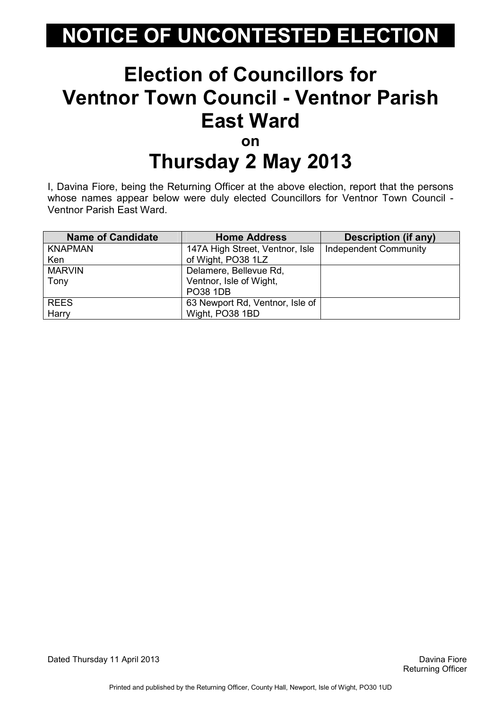#### Election of Councillors for Ventnor Town Council - Ventnor Parish East Ward on

# Thursday 2 May 2013

I, Davina Fiore, being the Returning Officer at the above election, report that the persons whose names appear below were duly elected Councillors for Ventnor Town Council -Ventnor Parish East Ward.

| <b>Name of Candidate</b> | <b>Home Address</b>             | <b>Description (if any)</b>  |
|--------------------------|---------------------------------|------------------------------|
| <b>KNAPMAN</b>           | 147A High Street, Ventnor, Isle | <b>Independent Community</b> |
| Ken                      | of Wight, PO38 1LZ              |                              |
| <b>MARVIN</b>            | Delamere, Bellevue Rd,          |                              |
| Tony                     | Ventnor, Isle of Wight,         |                              |
|                          | <b>PO38 1DB</b>                 |                              |
| <b>REES</b>              | 63 Newport Rd, Ventnor, Isle of |                              |
| Harry                    | Wight, PO38 1BD                 |                              |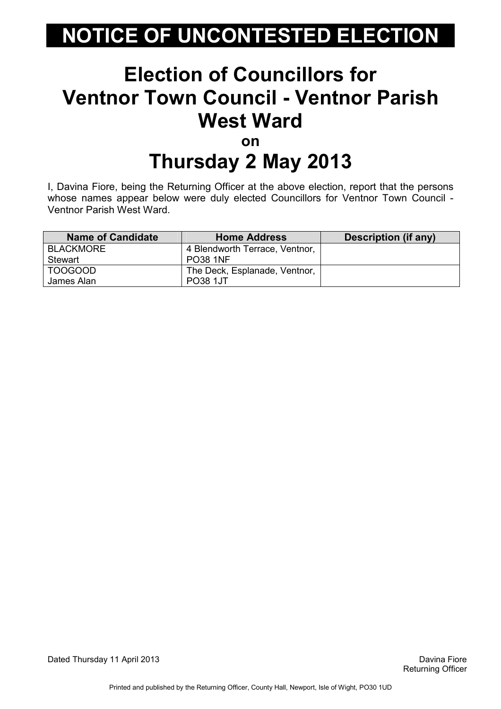#### Election of Councillors for Ventnor Town Council - Ventnor Parish West Ward on

# Thursday 2 May 2013

I, Davina Fiore, being the Returning Officer at the above election, report that the persons whose names appear below were duly elected Councillors for Ventnor Town Council -Ventnor Parish West Ward.

| <b>Name of Candidate</b> | <b>Home Address</b>            | Description (if any) |
|--------------------------|--------------------------------|----------------------|
| BLACKMORE                | 4 Blendworth Terrace, Ventnor, |                      |
| Stewart                  | <b>PO38 1NF</b>                |                      |
| TOOGOOD                  | The Deck, Esplanade, Ventnor,  |                      |
| James Alan               | <b>PO38 1JT</b>                |                      |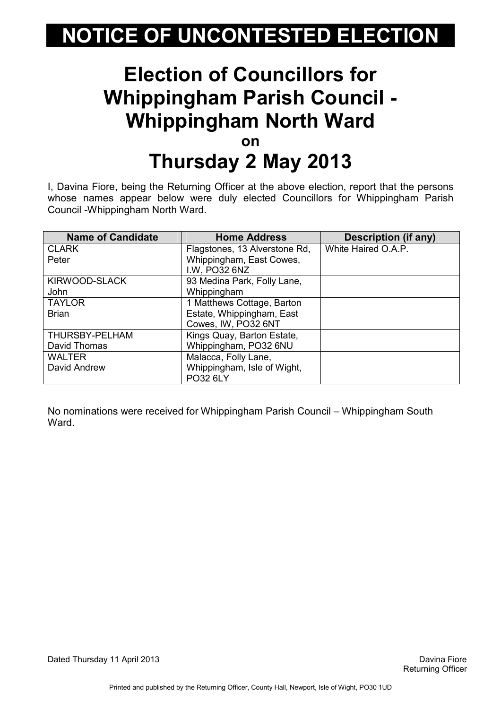#### Election of Councillors for Whippingham Parish Council - Whippingham North Ward on Thursday 2 May 2013

I, Davina Fiore, being the Returning Officer at the above election, report that the persons whose names appear below were duly elected Councillors for Whippingham Parish Council -Whippingham North Ward.

| <b>Name of Candidate</b> | <b>Home Address</b>           | <b>Description (if any)</b> |
|--------------------------|-------------------------------|-----------------------------|
| <b>CLARK</b>             | Flagstones, 13 Alverstone Rd, | White Haired O.A.P.         |
| Peter                    | Whippingham, East Cowes,      |                             |
|                          | I.W, PO32 6NZ                 |                             |
| KIRWOOD-SLACK            | 93 Medina Park, Folly Lane,   |                             |
| John                     | Whippingham                   |                             |
| <b>TAYLOR</b>            | 1 Matthews Cottage, Barton    |                             |
| <b>Brian</b>             | Estate, Whippingham, East     |                             |
|                          | Cowes, IW, PO32 6NT           |                             |
| THURSBY-PELHAM           | Kings Quay, Barton Estate,    |                             |
| David Thomas             | Whippingham, PO32 6NU         |                             |
| <b>WALTER</b>            | Malacca, Folly Lane,          |                             |
| David Andrew             | Whippingham, Isle of Wight,   |                             |
|                          | PO32 6LY                      |                             |

No nominations were received for Whippingham Parish Council – Whippingham South Ward.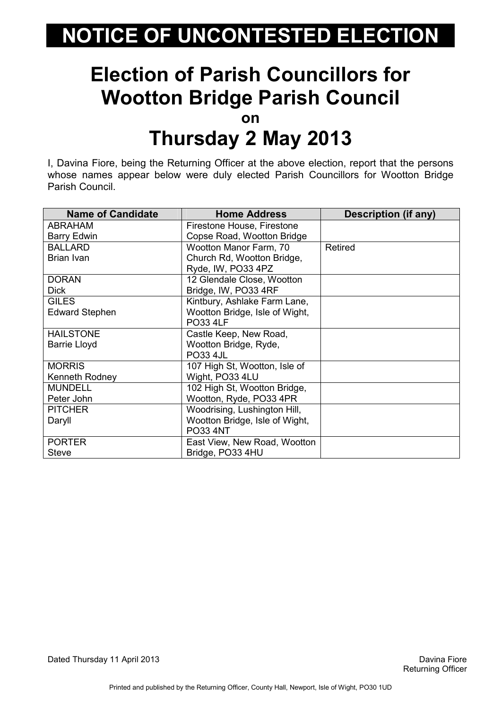#### Election of Parish Councillors for Wootton Bridge Parish Council on Thursday 2 May 2013

I, Davina Fiore, being the Returning Officer at the above election, report that the persons whose names appear below were duly elected Parish Councillors for Wootton Bridge Parish Council.

| <b>Name of Candidate</b> | <b>Home Address</b>            | Description (if any) |
|--------------------------|--------------------------------|----------------------|
| ABRAHAM                  | Firestone House, Firestone     |                      |
| <b>Barry Edwin</b>       | Copse Road, Wootton Bridge     |                      |
| <b>BALLARD</b>           | Wootton Manor Farm, 70         | Retired              |
| Brian Ivan               | Church Rd, Wootton Bridge,     |                      |
|                          | Ryde, IW, PO33 4PZ             |                      |
| <b>DORAN</b>             | 12 Glendale Close, Wootton     |                      |
| <b>Dick</b>              | Bridge, IW, PO33 4RF           |                      |
| <b>GILES</b>             | Kintbury, Ashlake Farm Lane,   |                      |
| <b>Edward Stephen</b>    | Wootton Bridge, Isle of Wight, |                      |
|                          | <b>PO33 4LF</b>                |                      |
| <b>HAILSTONE</b>         | Castle Keep, New Road,         |                      |
| <b>Barrie Lloyd</b>      | Wootton Bridge, Ryde,          |                      |
|                          | <b>PO33 4JL</b>                |                      |
| <b>MORRIS</b>            | 107 High St, Wootton, Isle of  |                      |
| Kenneth Rodney           | Wight, PO33 4LU                |                      |
| <b>MUNDELL</b>           | 102 High St, Wootton Bridge,   |                      |
| Peter John               | Wootton, Ryde, PO33 4PR        |                      |
| <b>PITCHER</b>           | Woodrising, Lushington Hill,   |                      |
| Daryll                   | Wootton Bridge, Isle of Wight, |                      |
|                          | <b>PO33 4NT</b>                |                      |
| <b>PORTER</b>            | East View, New Road, Wootton   |                      |
| <b>Steve</b>             | Bridge, PO33 4HU               |                      |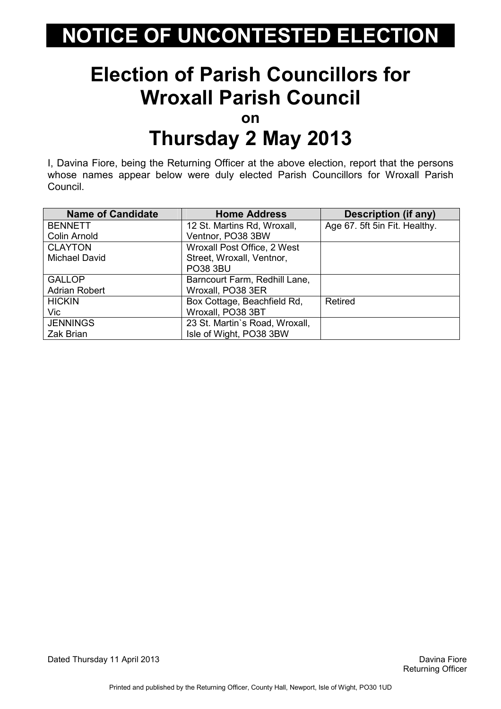#### Election of Parish Councillors for Wroxall Parish Council

on

#### Thursday 2 May 2013

I, Davina Fiore, being the Returning Officer at the above election, report that the persons whose names appear below were duly elected Parish Councillors for Wroxall Parish Council.

| <b>Name of Candidate</b> | <b>Home Address</b>            | <b>Description (if any)</b>   |
|--------------------------|--------------------------------|-------------------------------|
| <b>BENNETT</b>           | 12 St. Martins Rd, Wroxall,    | Age 67. 5ft 5in Fit. Healthy. |
| Colin Arnold             | Ventnor, PO38 3BW              |                               |
| <b>CLAYTON</b>           | Wroxall Post Office, 2 West    |                               |
| Michael David            | Street, Wroxall, Ventnor,      |                               |
|                          | <b>PO38 3BU</b>                |                               |
| <b>GALLOP</b>            | Barncourt Farm, Redhill Lane,  |                               |
| <b>Adrian Robert</b>     | Wroxall, PO38 3ER              |                               |
| <b>HICKIN</b>            | Box Cottage, Beachfield Rd,    | Retired                       |
| Vic                      | Wroxall, PO38 3BT              |                               |
| <b>JENNINGS</b>          | 23 St. Martin's Road, Wroxall, |                               |
| Zak Brian                | Isle of Wight, PO38 3BW        |                               |